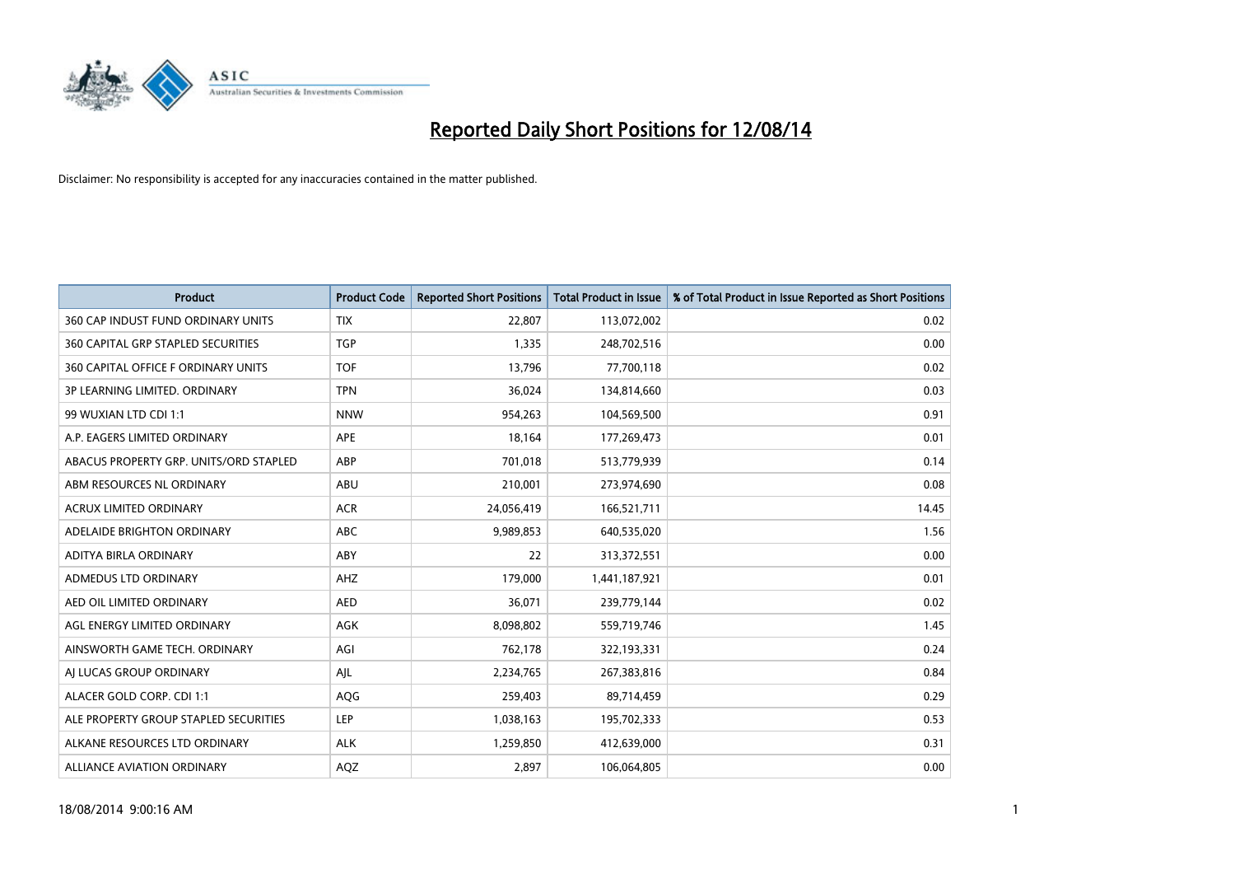

| <b>Product</b>                            | <b>Product Code</b> | <b>Reported Short Positions</b> | <b>Total Product in Issue</b> | % of Total Product in Issue Reported as Short Positions |
|-------------------------------------------|---------------------|---------------------------------|-------------------------------|---------------------------------------------------------|
| 360 CAP INDUST FUND ORDINARY UNITS        | <b>TIX</b>          | 22,807                          | 113,072,002                   | 0.02                                                    |
| <b>360 CAPITAL GRP STAPLED SECURITIES</b> | <b>TGP</b>          | 1,335                           | 248,702,516                   | 0.00                                                    |
| 360 CAPITAL OFFICE F ORDINARY UNITS       | <b>TOF</b>          | 13,796                          | 77,700,118                    | 0.02                                                    |
| 3P LEARNING LIMITED. ORDINARY             | <b>TPN</b>          | 36,024                          | 134,814,660                   | 0.03                                                    |
| 99 WUXIAN LTD CDI 1:1                     | <b>NNW</b>          | 954,263                         | 104,569,500                   | 0.91                                                    |
| A.P. EAGERS LIMITED ORDINARY              | APE                 | 18,164                          | 177,269,473                   | 0.01                                                    |
| ABACUS PROPERTY GRP. UNITS/ORD STAPLED    | ABP                 | 701,018                         | 513,779,939                   | 0.14                                                    |
| ABM RESOURCES NL ORDINARY                 | ABU                 | 210,001                         | 273,974,690                   | 0.08                                                    |
| ACRUX LIMITED ORDINARY                    | <b>ACR</b>          | 24,056,419                      | 166,521,711                   | 14.45                                                   |
| ADELAIDE BRIGHTON ORDINARY                | <b>ABC</b>          | 9,989,853                       | 640,535,020                   | 1.56                                                    |
| ADITYA BIRLA ORDINARY                     | ABY                 | 22                              | 313,372,551                   | 0.00                                                    |
| ADMEDUS LTD ORDINARY                      | AHZ                 | 179,000                         | 1,441,187,921                 | 0.01                                                    |
| AED OIL LIMITED ORDINARY                  | <b>AED</b>          | 36,071                          | 239,779,144                   | 0.02                                                    |
| AGL ENERGY LIMITED ORDINARY               | AGK                 | 8,098,802                       | 559,719,746                   | 1.45                                                    |
| AINSWORTH GAME TECH. ORDINARY             | AGI                 | 762,178                         | 322,193,331                   | 0.24                                                    |
| AJ LUCAS GROUP ORDINARY                   | AJL                 | 2,234,765                       | 267,383,816                   | 0.84                                                    |
| ALACER GOLD CORP. CDI 1:1                 | AQG                 | 259,403                         | 89,714,459                    | 0.29                                                    |
| ALE PROPERTY GROUP STAPLED SECURITIES     | LEP                 | 1,038,163                       | 195,702,333                   | 0.53                                                    |
| ALKANE RESOURCES LTD ORDINARY             | <b>ALK</b>          | 1,259,850                       | 412,639,000                   | 0.31                                                    |
| ALLIANCE AVIATION ORDINARY                | AQZ                 | 2,897                           | 106,064,805                   | 0.00                                                    |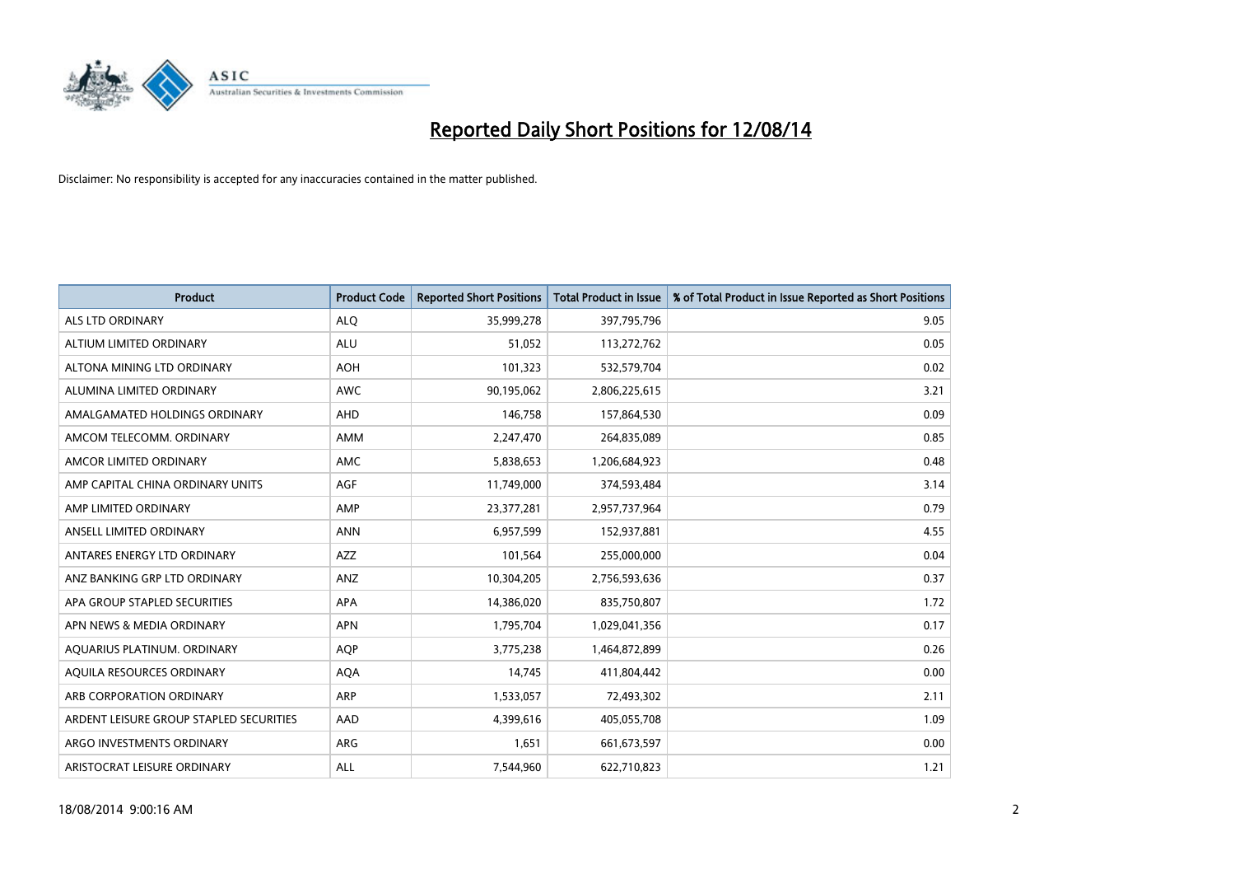

| <b>Product</b>                          | <b>Product Code</b> | <b>Reported Short Positions</b> | <b>Total Product in Issue</b> | % of Total Product in Issue Reported as Short Positions |
|-----------------------------------------|---------------------|---------------------------------|-------------------------------|---------------------------------------------------------|
| <b>ALS LTD ORDINARY</b>                 | <b>ALQ</b>          | 35,999,278                      | 397,795,796                   | 9.05                                                    |
| ALTIUM LIMITED ORDINARY                 | ALU                 | 51,052                          | 113,272,762                   | 0.05                                                    |
| ALTONA MINING LTD ORDINARY              | <b>AOH</b>          | 101,323                         | 532,579,704                   | 0.02                                                    |
| ALUMINA LIMITED ORDINARY                | <b>AWC</b>          | 90,195,062                      | 2,806,225,615                 | 3.21                                                    |
| AMALGAMATED HOLDINGS ORDINARY           | AHD                 | 146,758                         | 157,864,530                   | 0.09                                                    |
| AMCOM TELECOMM, ORDINARY                | AMM                 | 2,247,470                       | 264,835,089                   | 0.85                                                    |
| AMCOR LIMITED ORDINARY                  | <b>AMC</b>          | 5,838,653                       | 1,206,684,923                 | 0.48                                                    |
| AMP CAPITAL CHINA ORDINARY UNITS        | AGF                 | 11,749,000                      | 374,593,484                   | 3.14                                                    |
| AMP LIMITED ORDINARY                    | AMP                 | 23,377,281                      | 2,957,737,964                 | 0.79                                                    |
| ANSELL LIMITED ORDINARY                 | <b>ANN</b>          | 6,957,599                       | 152,937,881                   | 4.55                                                    |
| ANTARES ENERGY LTD ORDINARY             | AZZ                 | 101,564                         | 255,000,000                   | 0.04                                                    |
| ANZ BANKING GRP LTD ORDINARY            | ANZ                 | 10,304,205                      | 2,756,593,636                 | 0.37                                                    |
| APA GROUP STAPLED SECURITIES            | APA                 | 14,386,020                      | 835,750,807                   | 1.72                                                    |
| APN NEWS & MEDIA ORDINARY               | <b>APN</b>          | 1,795,704                       | 1,029,041,356                 | 0.17                                                    |
| AQUARIUS PLATINUM. ORDINARY             | AQP                 | 3,775,238                       | 1,464,872,899                 | 0.26                                                    |
| AQUILA RESOURCES ORDINARY               | <b>AQA</b>          | 14,745                          | 411,804,442                   | 0.00                                                    |
| ARB CORPORATION ORDINARY                | ARP                 | 1,533,057                       | 72,493,302                    | 2.11                                                    |
| ARDENT LEISURE GROUP STAPLED SECURITIES | AAD                 | 4,399,616                       | 405,055,708                   | 1.09                                                    |
| ARGO INVESTMENTS ORDINARY               | ARG                 | 1,651                           | 661,673,597                   | 0.00                                                    |
| ARISTOCRAT LEISURE ORDINARY             | ALL                 | 7,544,960                       | 622,710,823                   | 1.21                                                    |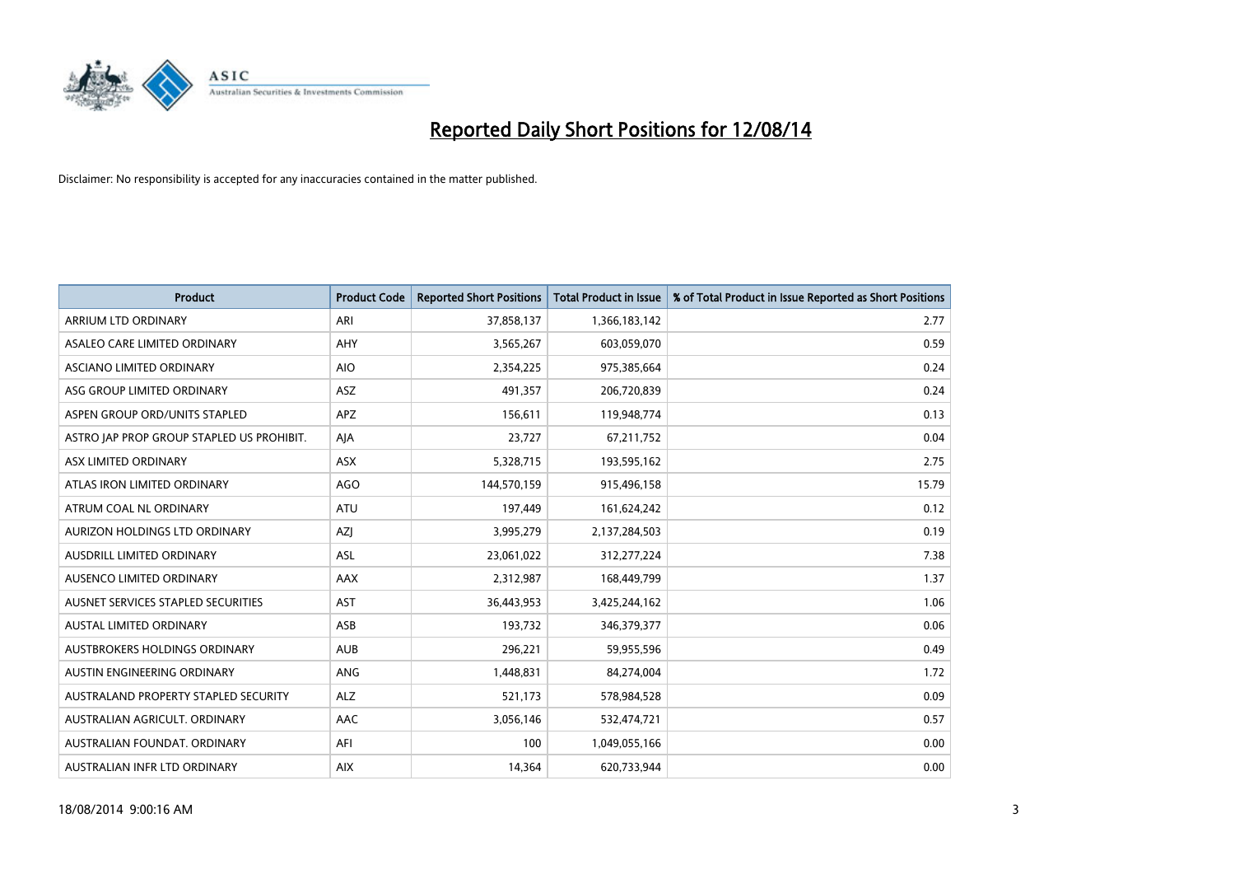

| <b>Product</b>                            | <b>Product Code</b> | <b>Reported Short Positions</b> | <b>Total Product in Issue</b> | % of Total Product in Issue Reported as Short Positions |
|-------------------------------------------|---------------------|---------------------------------|-------------------------------|---------------------------------------------------------|
| ARRIUM LTD ORDINARY                       | ARI                 | 37,858,137                      | 1,366,183,142                 | 2.77                                                    |
| ASALEO CARE LIMITED ORDINARY              | AHY                 | 3,565,267                       | 603,059,070                   | 0.59                                                    |
| ASCIANO LIMITED ORDINARY                  | <b>AIO</b>          | 2,354,225                       | 975,385,664                   | 0.24                                                    |
| ASG GROUP LIMITED ORDINARY                | <b>ASZ</b>          | 491,357                         | 206,720,839                   | 0.24                                                    |
| ASPEN GROUP ORD/UNITS STAPLED             | APZ                 | 156,611                         | 119,948,774                   | 0.13                                                    |
| ASTRO JAP PROP GROUP STAPLED US PROHIBIT. | AJA                 | 23,727                          | 67,211,752                    | 0.04                                                    |
| ASX LIMITED ORDINARY                      | ASX                 | 5,328,715                       | 193,595,162                   | 2.75                                                    |
| ATLAS IRON LIMITED ORDINARY               | AGO                 | 144,570,159                     | 915,496,158                   | 15.79                                                   |
| ATRUM COAL NL ORDINARY                    | ATU                 | 197,449                         | 161,624,242                   | 0.12                                                    |
| AURIZON HOLDINGS LTD ORDINARY             | <b>AZI</b>          | 3,995,279                       | 2,137,284,503                 | 0.19                                                    |
| AUSDRILL LIMITED ORDINARY                 | ASL                 | 23,061,022                      | 312,277,224                   | 7.38                                                    |
| AUSENCO LIMITED ORDINARY                  | AAX                 | 2,312,987                       | 168,449,799                   | 1.37                                                    |
| AUSNET SERVICES STAPLED SECURITIES        | <b>AST</b>          | 36,443,953                      | 3,425,244,162                 | 1.06                                                    |
| <b>AUSTAL LIMITED ORDINARY</b>            | ASB                 | 193,732                         | 346,379,377                   | 0.06                                                    |
| AUSTBROKERS HOLDINGS ORDINARY             | <b>AUB</b>          | 296,221                         | 59,955,596                    | 0.49                                                    |
| AUSTIN ENGINEERING ORDINARY               | ANG                 | 1,448,831                       | 84,274,004                    | 1.72                                                    |
| AUSTRALAND PROPERTY STAPLED SECURITY      | <b>ALZ</b>          | 521,173                         | 578,984,528                   | 0.09                                                    |
| AUSTRALIAN AGRICULT, ORDINARY             | AAC                 | 3,056,146                       | 532,474,721                   | 0.57                                                    |
| AUSTRALIAN FOUNDAT, ORDINARY              | AFI                 | 100                             | 1,049,055,166                 | 0.00                                                    |
| AUSTRALIAN INFR LTD ORDINARY              | <b>AIX</b>          | 14,364                          | 620,733,944                   | 0.00                                                    |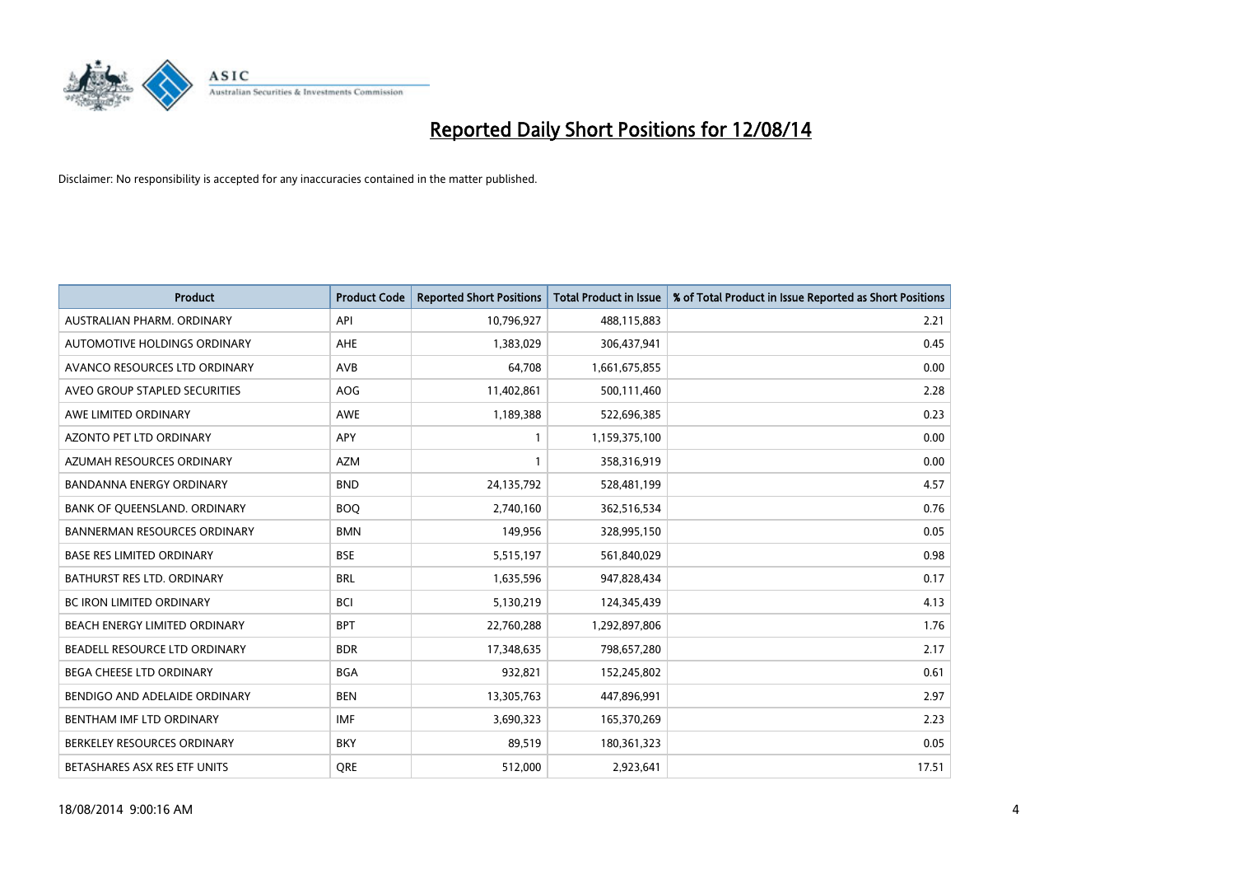

| <b>Product</b>                      | <b>Product Code</b> | <b>Reported Short Positions</b> | <b>Total Product in Issue</b> | % of Total Product in Issue Reported as Short Positions |
|-------------------------------------|---------------------|---------------------------------|-------------------------------|---------------------------------------------------------|
| AUSTRALIAN PHARM, ORDINARY          | API                 | 10,796,927                      | 488,115,883                   | 2.21                                                    |
| AUTOMOTIVE HOLDINGS ORDINARY        | AHE                 | 1,383,029                       | 306,437,941                   | 0.45                                                    |
| AVANCO RESOURCES LTD ORDINARY       | AVB                 | 64,708                          | 1,661,675,855                 | 0.00                                                    |
| AVEO GROUP STAPLED SECURITIES       | <b>AOG</b>          | 11,402,861                      | 500,111,460                   | 2.28                                                    |
| AWE LIMITED ORDINARY                | AWE                 | 1,189,388                       | 522,696,385                   | 0.23                                                    |
| <b>AZONTO PET LTD ORDINARY</b>      | APY                 | 1                               | 1,159,375,100                 | 0.00                                                    |
| AZUMAH RESOURCES ORDINARY           | <b>AZM</b>          | 1                               | 358,316,919                   | 0.00                                                    |
| <b>BANDANNA ENERGY ORDINARY</b>     | <b>BND</b>          | 24,135,792                      | 528,481,199                   | 4.57                                                    |
| BANK OF QUEENSLAND. ORDINARY        | <b>BOQ</b>          | 2,740,160                       | 362,516,534                   | 0.76                                                    |
| <b>BANNERMAN RESOURCES ORDINARY</b> | <b>BMN</b>          | 149,956                         | 328,995,150                   | 0.05                                                    |
| <b>BASE RES LIMITED ORDINARY</b>    | <b>BSE</b>          | 5,515,197                       | 561,840,029                   | 0.98                                                    |
| <b>BATHURST RES LTD. ORDINARY</b>   | <b>BRL</b>          | 1,635,596                       | 947,828,434                   | 0.17                                                    |
| BC IRON LIMITED ORDINARY            | <b>BCI</b>          | 5,130,219                       | 124,345,439                   | 4.13                                                    |
| BEACH ENERGY LIMITED ORDINARY       | <b>BPT</b>          | 22,760,288                      | 1,292,897,806                 | 1.76                                                    |
| BEADELL RESOURCE LTD ORDINARY       | <b>BDR</b>          | 17,348,635                      | 798,657,280                   | 2.17                                                    |
| BEGA CHEESE LTD ORDINARY            | <b>BGA</b>          | 932,821                         | 152,245,802                   | 0.61                                                    |
| BENDIGO AND ADELAIDE ORDINARY       | <b>BEN</b>          | 13,305,763                      | 447,896,991                   | 2.97                                                    |
| BENTHAM IMF LTD ORDINARY            | <b>IMF</b>          | 3,690,323                       | 165,370,269                   | 2.23                                                    |
| BERKELEY RESOURCES ORDINARY         | <b>BKY</b>          | 89,519                          | 180,361,323                   | 0.05                                                    |
| BETASHARES ASX RES ETF UNITS        | <b>ORE</b>          | 512,000                         | 2,923,641                     | 17.51                                                   |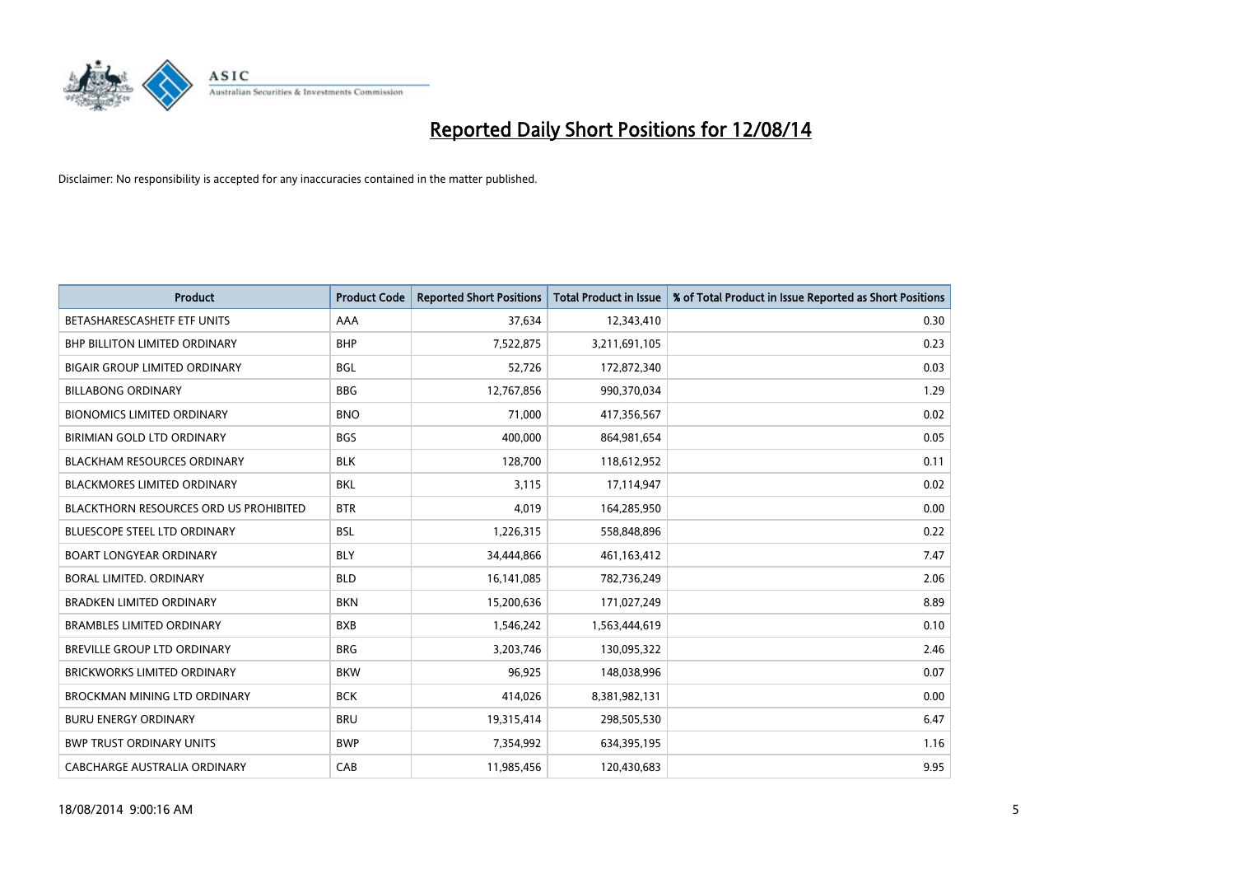

| <b>Product</b>                                | <b>Product Code</b> | <b>Reported Short Positions</b> | <b>Total Product in Issue</b> | % of Total Product in Issue Reported as Short Positions |
|-----------------------------------------------|---------------------|---------------------------------|-------------------------------|---------------------------------------------------------|
| BETASHARESCASHETF ETF UNITS                   | AAA                 | 37,634                          | 12,343,410                    | 0.30                                                    |
| BHP BILLITON LIMITED ORDINARY                 | <b>BHP</b>          | 7,522,875                       | 3,211,691,105                 | 0.23                                                    |
| <b>BIGAIR GROUP LIMITED ORDINARY</b>          | <b>BGL</b>          | 52,726                          | 172,872,340                   | 0.03                                                    |
| <b>BILLABONG ORDINARY</b>                     | <b>BBG</b>          | 12,767,856                      | 990,370,034                   | 1.29                                                    |
| <b>BIONOMICS LIMITED ORDINARY</b>             | <b>BNO</b>          | 71,000                          | 417,356,567                   | 0.02                                                    |
| BIRIMIAN GOLD LTD ORDINARY                    | <b>BGS</b>          | 400,000                         | 864,981,654                   | 0.05                                                    |
| <b>BLACKHAM RESOURCES ORDINARY</b>            | <b>BLK</b>          | 128,700                         | 118,612,952                   | 0.11                                                    |
| BLACKMORES LIMITED ORDINARY                   | <b>BKL</b>          | 3,115                           | 17,114,947                    | 0.02                                                    |
| <b>BLACKTHORN RESOURCES ORD US PROHIBITED</b> | <b>BTR</b>          | 4,019                           | 164,285,950                   | 0.00                                                    |
| <b>BLUESCOPE STEEL LTD ORDINARY</b>           | <b>BSL</b>          | 1,226,315                       | 558,848,896                   | 0.22                                                    |
| <b>BOART LONGYEAR ORDINARY</b>                | <b>BLY</b>          | 34,444,866                      | 461,163,412                   | 7.47                                                    |
| <b>BORAL LIMITED, ORDINARY</b>                | <b>BLD</b>          | 16,141,085                      | 782,736,249                   | 2.06                                                    |
| <b>BRADKEN LIMITED ORDINARY</b>               | <b>BKN</b>          | 15,200,636                      | 171,027,249                   | 8.89                                                    |
| <b>BRAMBLES LIMITED ORDINARY</b>              | <b>BXB</b>          | 1,546,242                       | 1,563,444,619                 | 0.10                                                    |
| BREVILLE GROUP LTD ORDINARY                   | <b>BRG</b>          | 3,203,746                       | 130,095,322                   | 2.46                                                    |
| BRICKWORKS LIMITED ORDINARY                   | <b>BKW</b>          | 96,925                          | 148,038,996                   | 0.07                                                    |
| BROCKMAN MINING LTD ORDINARY                  | <b>BCK</b>          | 414,026                         | 8,381,982,131                 | 0.00                                                    |
| <b>BURU ENERGY ORDINARY</b>                   | <b>BRU</b>          | 19,315,414                      | 298,505,530                   | 6.47                                                    |
| <b>BWP TRUST ORDINARY UNITS</b>               | <b>BWP</b>          | 7,354,992                       | 634,395,195                   | 1.16                                                    |
| CABCHARGE AUSTRALIA ORDINARY                  | CAB                 | 11,985,456                      | 120,430,683                   | 9.95                                                    |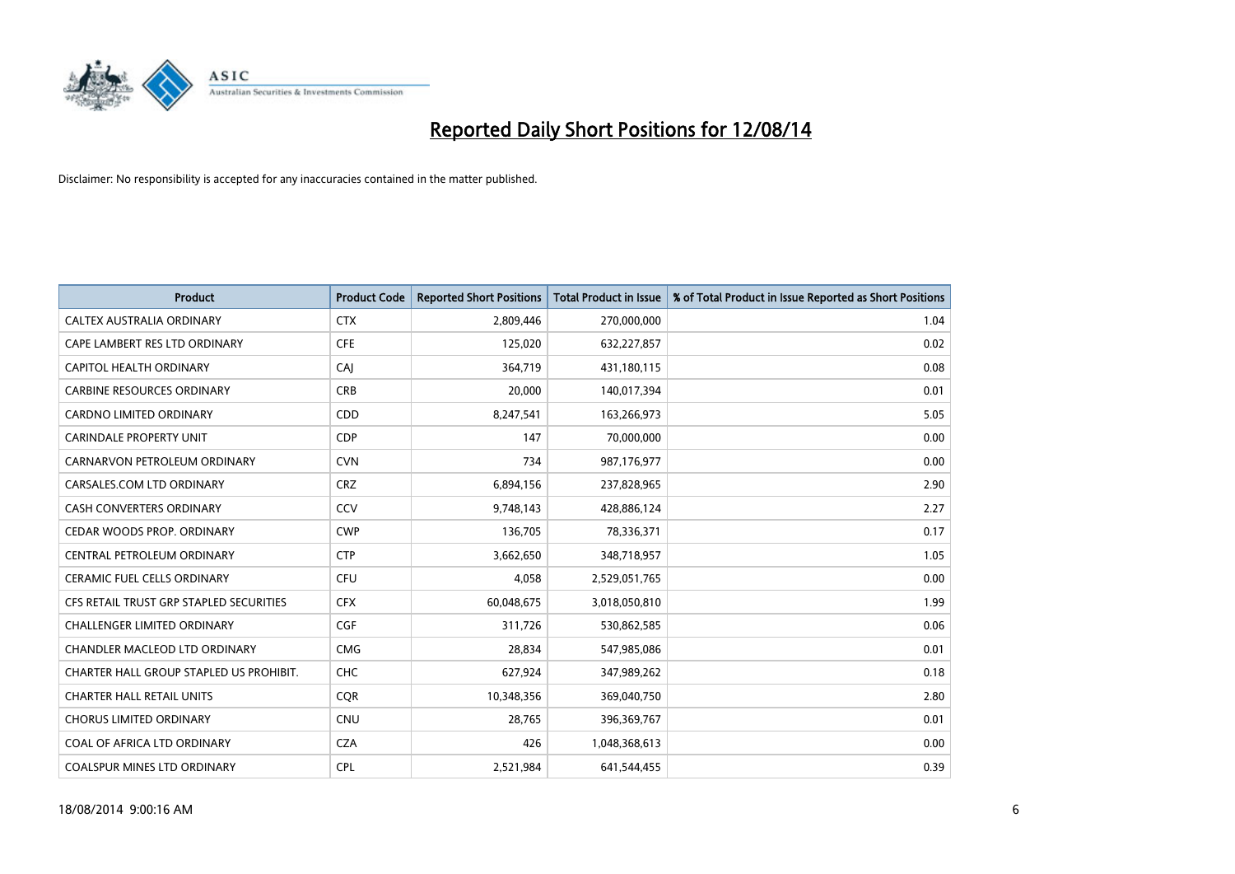

| <b>Product</b>                          | <b>Product Code</b> | <b>Reported Short Positions</b> | <b>Total Product in Issue</b> | % of Total Product in Issue Reported as Short Positions |
|-----------------------------------------|---------------------|---------------------------------|-------------------------------|---------------------------------------------------------|
| CALTEX AUSTRALIA ORDINARY               | <b>CTX</b>          | 2,809,446                       | 270,000,000                   | 1.04                                                    |
| CAPE LAMBERT RES LTD ORDINARY           | <b>CFE</b>          | 125,020                         | 632,227,857                   | 0.02                                                    |
| CAPITOL HEALTH ORDINARY                 | CAJ                 | 364,719                         | 431,180,115                   | 0.08                                                    |
| <b>CARBINE RESOURCES ORDINARY</b>       | <b>CRB</b>          | 20,000                          | 140,017,394                   | 0.01                                                    |
| <b>CARDNO LIMITED ORDINARY</b>          | CDD                 | 8,247,541                       | 163,266,973                   | 5.05                                                    |
| <b>CARINDALE PROPERTY UNIT</b>          | <b>CDP</b>          | 147                             | 70,000,000                    | 0.00                                                    |
| CARNARVON PETROLEUM ORDINARY            | <b>CVN</b>          | 734                             | 987,176,977                   | 0.00                                                    |
| CARSALES.COM LTD ORDINARY               | <b>CRZ</b>          | 6,894,156                       | 237,828,965                   | 2.90                                                    |
| CASH CONVERTERS ORDINARY                | CCV                 | 9,748,143                       | 428,886,124                   | 2.27                                                    |
| CEDAR WOODS PROP. ORDINARY              | <b>CWP</b>          | 136,705                         | 78,336,371                    | 0.17                                                    |
| CENTRAL PETROLEUM ORDINARY              | <b>CTP</b>          | 3,662,650                       | 348,718,957                   | 1.05                                                    |
| <b>CERAMIC FUEL CELLS ORDINARY</b>      | <b>CFU</b>          | 4,058                           | 2,529,051,765                 | 0.00                                                    |
| CFS RETAIL TRUST GRP STAPLED SECURITIES | <b>CFX</b>          | 60,048,675                      | 3,018,050,810                 | 1.99                                                    |
| <b>CHALLENGER LIMITED ORDINARY</b>      | <b>CGF</b>          | 311,726                         | 530,862,585                   | 0.06                                                    |
| CHANDLER MACLEOD LTD ORDINARY           | <b>CMG</b>          | 28,834                          | 547,985,086                   | 0.01                                                    |
| CHARTER HALL GROUP STAPLED US PROHIBIT. | <b>CHC</b>          | 627,924                         | 347,989,262                   | 0.18                                                    |
| <b>CHARTER HALL RETAIL UNITS</b>        | <b>CQR</b>          | 10,348,356                      | 369,040,750                   | 2.80                                                    |
| <b>CHORUS LIMITED ORDINARY</b>          | <b>CNU</b>          | 28,765                          | 396,369,767                   | 0.01                                                    |
| COAL OF AFRICA LTD ORDINARY             | <b>CZA</b>          | 426                             | 1,048,368,613                 | 0.00                                                    |
| <b>COALSPUR MINES LTD ORDINARY</b>      | CPL                 | 2,521,984                       | 641,544,455                   | 0.39                                                    |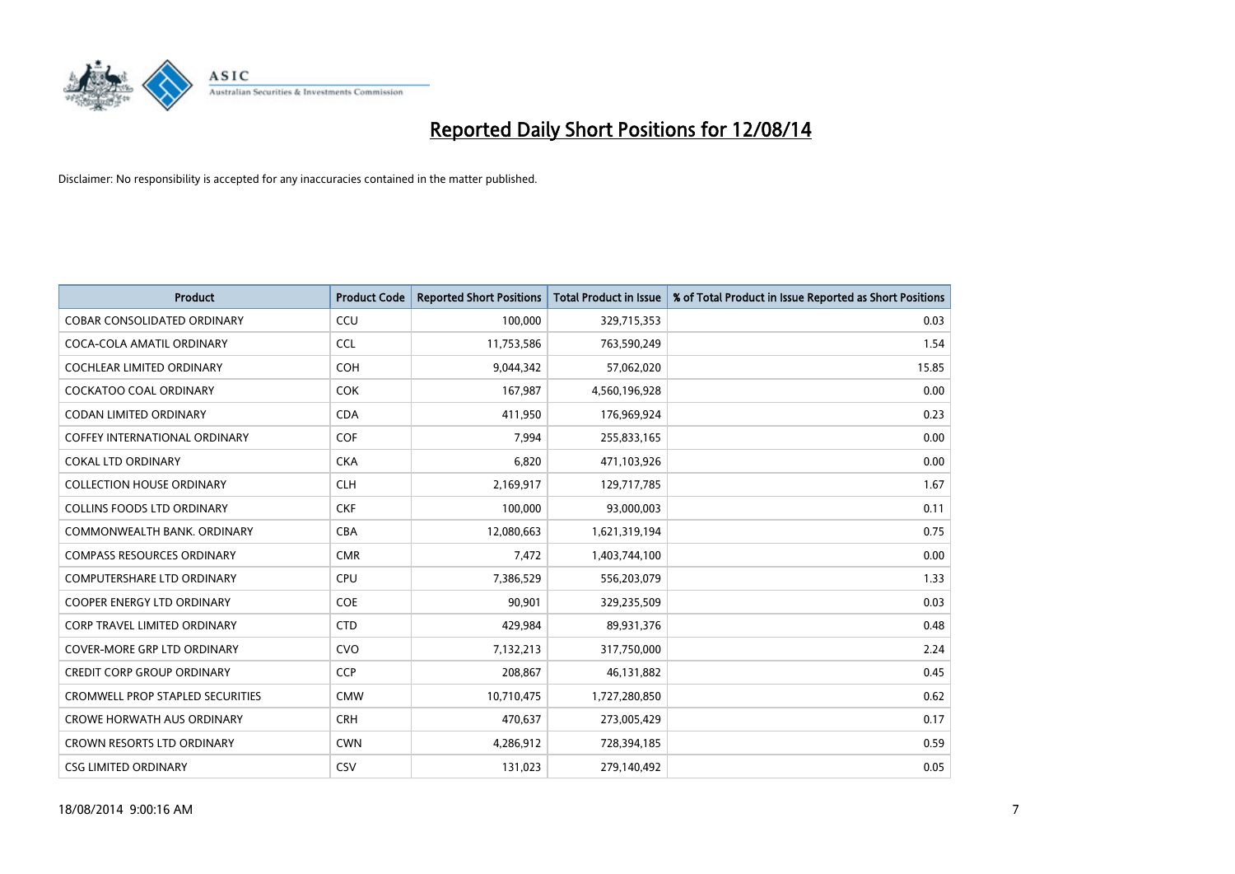

| <b>Product</b>                          | <b>Product Code</b> | <b>Reported Short Positions</b> | <b>Total Product in Issue</b> | % of Total Product in Issue Reported as Short Positions |
|-----------------------------------------|---------------------|---------------------------------|-------------------------------|---------------------------------------------------------|
| <b>COBAR CONSOLIDATED ORDINARY</b>      | CCU                 | 100,000                         | 329,715,353                   | 0.03                                                    |
| COCA-COLA AMATIL ORDINARY               | <b>CCL</b>          | 11,753,586                      | 763,590,249                   | 1.54                                                    |
| COCHLEAR LIMITED ORDINARY               | <b>COH</b>          | 9,044,342                       | 57,062,020                    | 15.85                                                   |
| COCKATOO COAL ORDINARY                  | <b>COK</b>          | 167,987                         | 4,560,196,928                 | 0.00                                                    |
| <b>CODAN LIMITED ORDINARY</b>           | <b>CDA</b>          | 411,950                         | 176,969,924                   | 0.23                                                    |
| <b>COFFEY INTERNATIONAL ORDINARY</b>    | COF                 | 7,994                           | 255,833,165                   | 0.00                                                    |
| <b>COKAL LTD ORDINARY</b>               | <b>CKA</b>          | 6,820                           | 471,103,926                   | 0.00                                                    |
| <b>COLLECTION HOUSE ORDINARY</b>        | <b>CLH</b>          | 2,169,917                       | 129,717,785                   | 1.67                                                    |
| <b>COLLINS FOODS LTD ORDINARY</b>       | <b>CKF</b>          | 100,000                         | 93,000,003                    | 0.11                                                    |
| COMMONWEALTH BANK, ORDINARY             | <b>CBA</b>          | 12,080,663                      | 1,621,319,194                 | 0.75                                                    |
| <b>COMPASS RESOURCES ORDINARY</b>       | <b>CMR</b>          | 7,472                           | 1,403,744,100                 | 0.00                                                    |
| <b>COMPUTERSHARE LTD ORDINARY</b>       | <b>CPU</b>          | 7,386,529                       | 556,203,079                   | 1.33                                                    |
| COOPER ENERGY LTD ORDINARY              | <b>COE</b>          | 90,901                          | 329,235,509                   | 0.03                                                    |
| <b>CORP TRAVEL LIMITED ORDINARY</b>     | <b>CTD</b>          | 429,984                         | 89,931,376                    | 0.48                                                    |
| <b>COVER-MORE GRP LTD ORDINARY</b>      | <b>CVO</b>          | 7,132,213                       | 317,750,000                   | 2.24                                                    |
| <b>CREDIT CORP GROUP ORDINARY</b>       | <b>CCP</b>          | 208,867                         | 46,131,882                    | 0.45                                                    |
| <b>CROMWELL PROP STAPLED SECURITIES</b> | <b>CMW</b>          | 10,710,475                      | 1,727,280,850                 | 0.62                                                    |
| <b>CROWE HORWATH AUS ORDINARY</b>       | <b>CRH</b>          | 470,637                         | 273,005,429                   | 0.17                                                    |
| <b>CROWN RESORTS LTD ORDINARY</b>       | <b>CWN</b>          | 4,286,912                       | 728,394,185                   | 0.59                                                    |
| <b>CSG LIMITED ORDINARY</b>             | CSV                 | 131,023                         | 279,140,492                   | 0.05                                                    |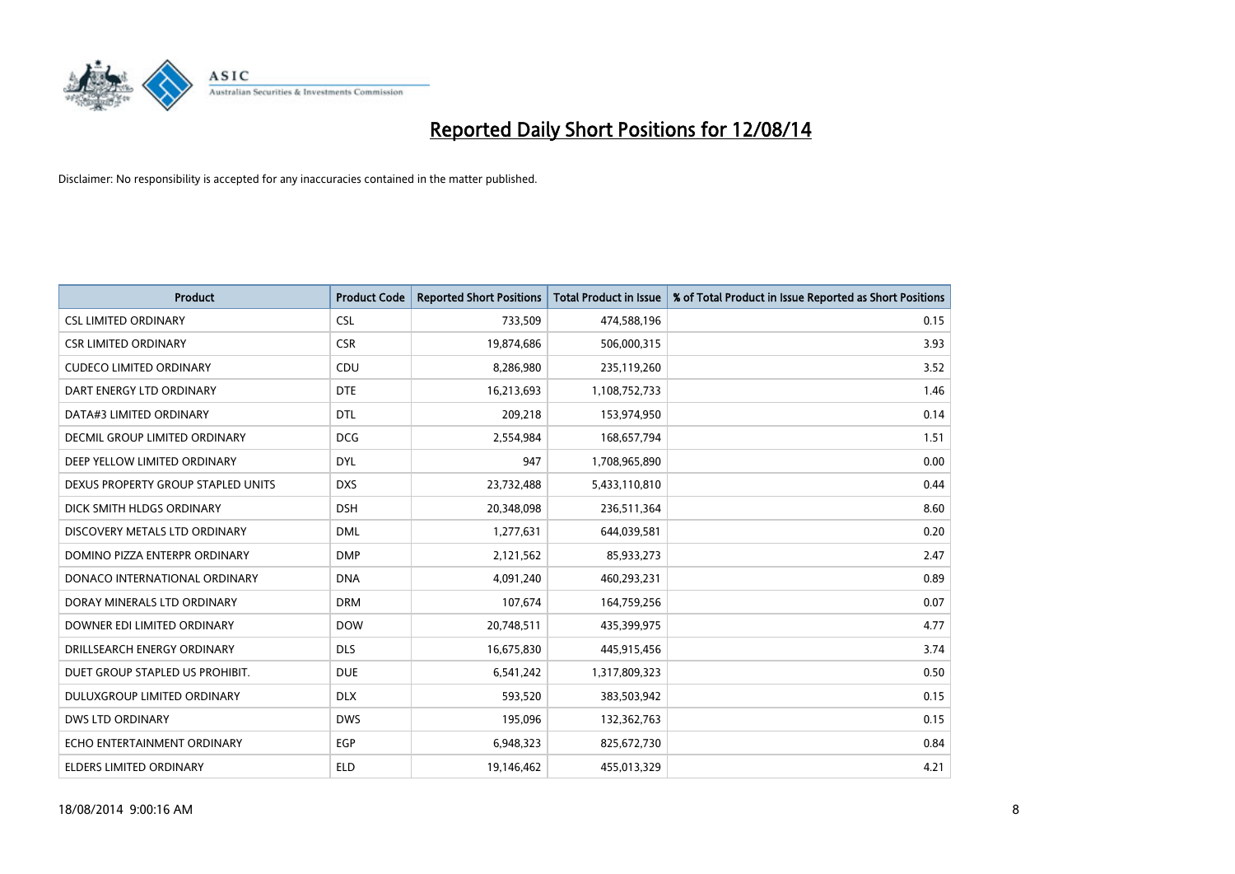

| <b>Product</b>                       | <b>Product Code</b> | <b>Reported Short Positions</b> | <b>Total Product in Issue</b> | % of Total Product in Issue Reported as Short Positions |
|--------------------------------------|---------------------|---------------------------------|-------------------------------|---------------------------------------------------------|
| <b>CSL LIMITED ORDINARY</b>          | <b>CSL</b>          | 733,509                         | 474,588,196                   | 0.15                                                    |
| <b>CSR LIMITED ORDINARY</b>          | <b>CSR</b>          | 19,874,686                      | 506,000,315                   | 3.93                                                    |
| <b>CUDECO LIMITED ORDINARY</b>       | CDU                 | 8,286,980                       | 235,119,260                   | 3.52                                                    |
| DART ENERGY LTD ORDINARY             | <b>DTE</b>          | 16,213,693                      | 1,108,752,733                 | 1.46                                                    |
| DATA#3 LIMITED ORDINARY              | <b>DTL</b>          | 209,218                         | 153,974,950                   | 0.14                                                    |
| <b>DECMIL GROUP LIMITED ORDINARY</b> | <b>DCG</b>          | 2,554,984                       | 168,657,794                   | 1.51                                                    |
| DEEP YELLOW LIMITED ORDINARY         | <b>DYL</b>          | 947                             | 1,708,965,890                 | 0.00                                                    |
| DEXUS PROPERTY GROUP STAPLED UNITS   | <b>DXS</b>          | 23,732,488                      | 5,433,110,810                 | 0.44                                                    |
| DICK SMITH HLDGS ORDINARY            | <b>DSH</b>          | 20,348,098                      | 236,511,364                   | 8.60                                                    |
| DISCOVERY METALS LTD ORDINARY        | <b>DML</b>          | 1,277,631                       | 644,039,581                   | 0.20                                                    |
| DOMINO PIZZA ENTERPR ORDINARY        | <b>DMP</b>          | 2,121,562                       | 85,933,273                    | 2.47                                                    |
| DONACO INTERNATIONAL ORDINARY        | <b>DNA</b>          | 4,091,240                       | 460,293,231                   | 0.89                                                    |
| DORAY MINERALS LTD ORDINARY          | <b>DRM</b>          | 107,674                         | 164,759,256                   | 0.07                                                    |
| DOWNER EDI LIMITED ORDINARY          | <b>DOW</b>          | 20,748,511                      | 435,399,975                   | 4.77                                                    |
| DRILLSEARCH ENERGY ORDINARY          | <b>DLS</b>          | 16,675,830                      | 445,915,456                   | 3.74                                                    |
| DUET GROUP STAPLED US PROHIBIT.      | <b>DUE</b>          | 6,541,242                       | 1,317,809,323                 | 0.50                                                    |
| DULUXGROUP LIMITED ORDINARY          | <b>DLX</b>          | 593,520                         | 383,503,942                   | 0.15                                                    |
| <b>DWS LTD ORDINARY</b>              | <b>DWS</b>          | 195,096                         | 132,362,763                   | 0.15                                                    |
| ECHO ENTERTAINMENT ORDINARY          | <b>EGP</b>          | 6,948,323                       | 825,672,730                   | 0.84                                                    |
| ELDERS LIMITED ORDINARY              | <b>ELD</b>          | 19,146,462                      | 455,013,329                   | 4.21                                                    |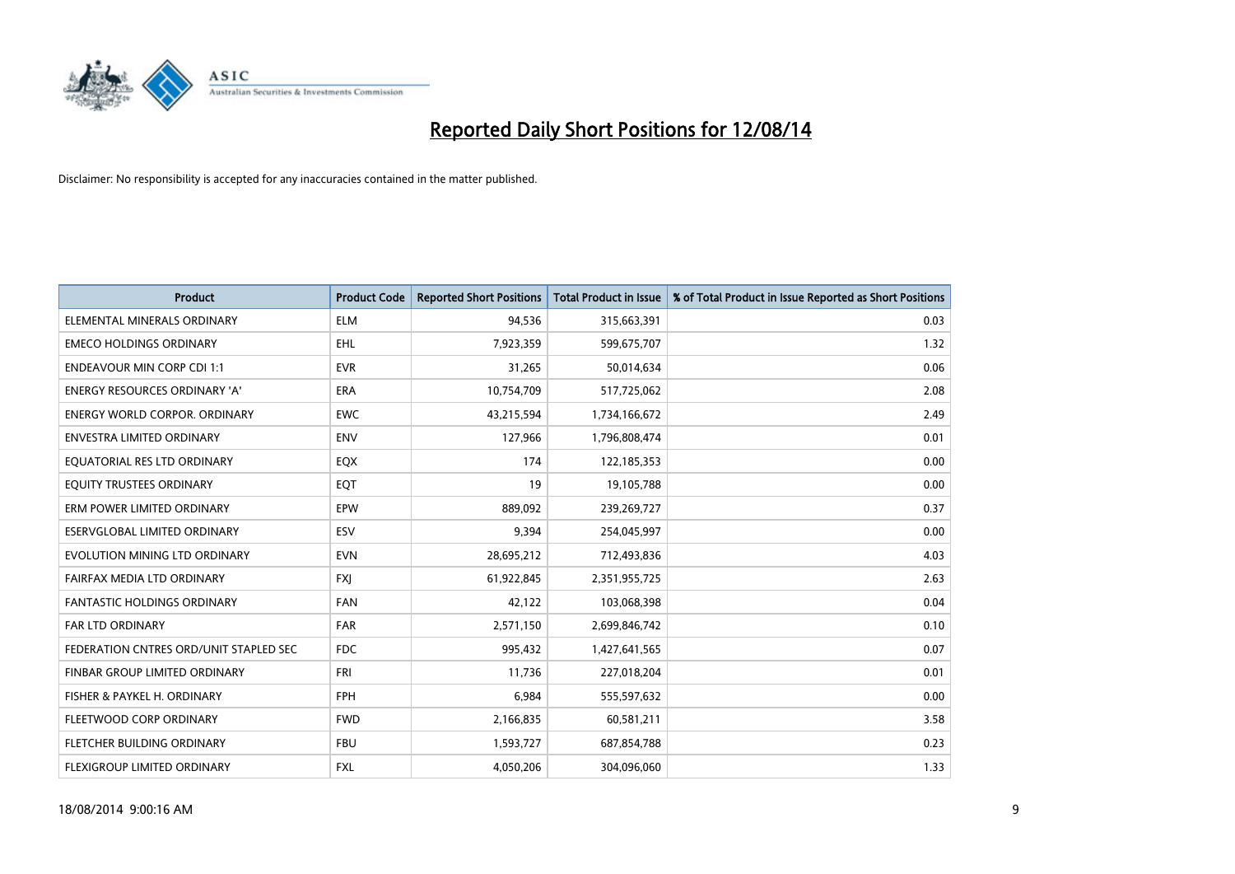

| <b>Product</b>                         | <b>Product Code</b> | <b>Reported Short Positions</b> | <b>Total Product in Issue</b> | % of Total Product in Issue Reported as Short Positions |
|----------------------------------------|---------------------|---------------------------------|-------------------------------|---------------------------------------------------------|
| ELEMENTAL MINERALS ORDINARY            | <b>ELM</b>          | 94,536                          | 315,663,391                   | 0.03                                                    |
| <b>EMECO HOLDINGS ORDINARY</b>         | <b>EHL</b>          | 7,923,359                       | 599,675,707                   | 1.32                                                    |
| <b>ENDEAVOUR MIN CORP CDI 1:1</b>      | <b>EVR</b>          | 31,265                          | 50,014,634                    | 0.06                                                    |
| ENERGY RESOURCES ORDINARY 'A'          | <b>ERA</b>          | 10,754,709                      | 517,725,062                   | 2.08                                                    |
| <b>ENERGY WORLD CORPOR, ORDINARY</b>   | <b>EWC</b>          | 43,215,594                      | 1,734,166,672                 | 2.49                                                    |
| <b>ENVESTRA LIMITED ORDINARY</b>       | <b>ENV</b>          | 127,966                         | 1,796,808,474                 | 0.01                                                    |
| EQUATORIAL RES LTD ORDINARY            | EQX                 | 174                             | 122,185,353                   | 0.00                                                    |
| EQUITY TRUSTEES ORDINARY               | EQT                 | 19                              | 19,105,788                    | 0.00                                                    |
| ERM POWER LIMITED ORDINARY             | <b>EPW</b>          | 889,092                         | 239,269,727                   | 0.37                                                    |
| <b>ESERVGLOBAL LIMITED ORDINARY</b>    | ESV                 | 9,394                           | 254,045,997                   | 0.00                                                    |
| EVOLUTION MINING LTD ORDINARY          | <b>EVN</b>          | 28,695,212                      | 712,493,836                   | 4.03                                                    |
| FAIRFAX MEDIA LTD ORDINARY             | FXJ                 | 61,922,845                      | 2,351,955,725                 | 2.63                                                    |
| FANTASTIC HOLDINGS ORDINARY            | <b>FAN</b>          | 42,122                          | 103,068,398                   | 0.04                                                    |
| <b>FAR LTD ORDINARY</b>                | FAR                 | 2,571,150                       | 2,699,846,742                 | 0.10                                                    |
| FEDERATION CNTRES ORD/UNIT STAPLED SEC | <b>FDC</b>          | 995,432                         | 1,427,641,565                 | 0.07                                                    |
| FINBAR GROUP LIMITED ORDINARY          | <b>FRI</b>          | 11,736                          | 227,018,204                   | 0.01                                                    |
| FISHER & PAYKEL H. ORDINARY            | FPH                 | 6,984                           | 555,597,632                   | 0.00                                                    |
| FLEETWOOD CORP ORDINARY                | <b>FWD</b>          | 2,166,835                       | 60,581,211                    | 3.58                                                    |
| FLETCHER BUILDING ORDINARY             | <b>FBU</b>          | 1,593,727                       | 687,854,788                   | 0.23                                                    |
| FLEXIGROUP LIMITED ORDINARY            | FXL                 | 4,050,206                       | 304,096,060                   | 1.33                                                    |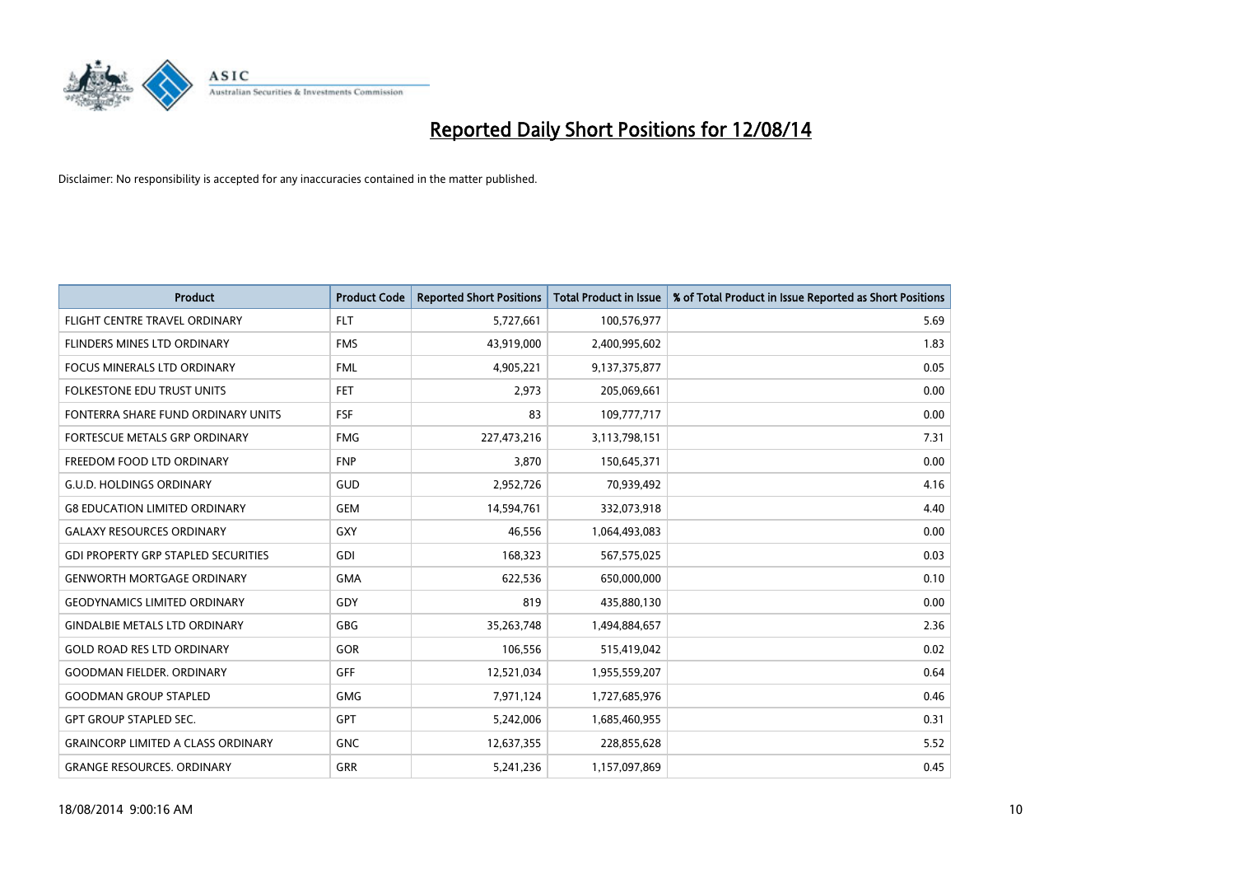

| <b>Product</b>                             | <b>Product Code</b> | <b>Reported Short Positions</b> | <b>Total Product in Issue</b> | % of Total Product in Issue Reported as Short Positions |
|--------------------------------------------|---------------------|---------------------------------|-------------------------------|---------------------------------------------------------|
| FLIGHT CENTRE TRAVEL ORDINARY              | <b>FLT</b>          | 5,727,661                       | 100,576,977                   | 5.69                                                    |
| <b>FLINDERS MINES LTD ORDINARY</b>         | <b>FMS</b>          | 43,919,000                      | 2,400,995,602                 | 1.83                                                    |
| <b>FOCUS MINERALS LTD ORDINARY</b>         | <b>FML</b>          | 4,905,221                       | 9,137,375,877                 | 0.05                                                    |
| <b>FOLKESTONE EDU TRUST UNITS</b>          | <b>FET</b>          | 2.973                           | 205,069,661                   | 0.00                                                    |
| FONTERRA SHARE FUND ORDINARY UNITS         | FSF                 | 83                              | 109,777,717                   | 0.00                                                    |
| FORTESCUE METALS GRP ORDINARY              | <b>FMG</b>          | 227,473,216                     | 3,113,798,151                 | 7.31                                                    |
| FREEDOM FOOD LTD ORDINARY                  | <b>FNP</b>          | 3,870                           | 150,645,371                   | 0.00                                                    |
| <b>G.U.D. HOLDINGS ORDINARY</b>            | GUD                 | 2,952,726                       | 70,939,492                    | 4.16                                                    |
| <b>G8 EDUCATION LIMITED ORDINARY</b>       | <b>GEM</b>          | 14,594,761                      | 332,073,918                   | 4.40                                                    |
| <b>GALAXY RESOURCES ORDINARY</b>           | GXY                 | 46,556                          | 1,064,493,083                 | 0.00                                                    |
| <b>GDI PROPERTY GRP STAPLED SECURITIES</b> | GDI                 | 168,323                         | 567,575,025                   | 0.03                                                    |
| <b>GENWORTH MORTGAGE ORDINARY</b>          | <b>GMA</b>          | 622,536                         | 650,000,000                   | 0.10                                                    |
| <b>GEODYNAMICS LIMITED ORDINARY</b>        | GDY                 | 819                             | 435,880,130                   | 0.00                                                    |
| <b>GINDALBIE METALS LTD ORDINARY</b>       | GBG                 | 35,263,748                      | 1,494,884,657                 | 2.36                                                    |
| <b>GOLD ROAD RES LTD ORDINARY</b>          | GOR                 | 106,556                         | 515,419,042                   | 0.02                                                    |
| <b>GOODMAN FIELDER, ORDINARY</b>           | GFF                 | 12,521,034                      | 1,955,559,207                 | 0.64                                                    |
| <b>GOODMAN GROUP STAPLED</b>               | <b>GMG</b>          | 7,971,124                       | 1,727,685,976                 | 0.46                                                    |
| <b>GPT GROUP STAPLED SEC.</b>              | <b>GPT</b>          | 5,242,006                       | 1,685,460,955                 | 0.31                                                    |
| <b>GRAINCORP LIMITED A CLASS ORDINARY</b>  | <b>GNC</b>          | 12,637,355                      | 228,855,628                   | 5.52                                                    |
| <b>GRANGE RESOURCES. ORDINARY</b>          | GRR                 | 5,241,236                       | 1,157,097,869                 | 0.45                                                    |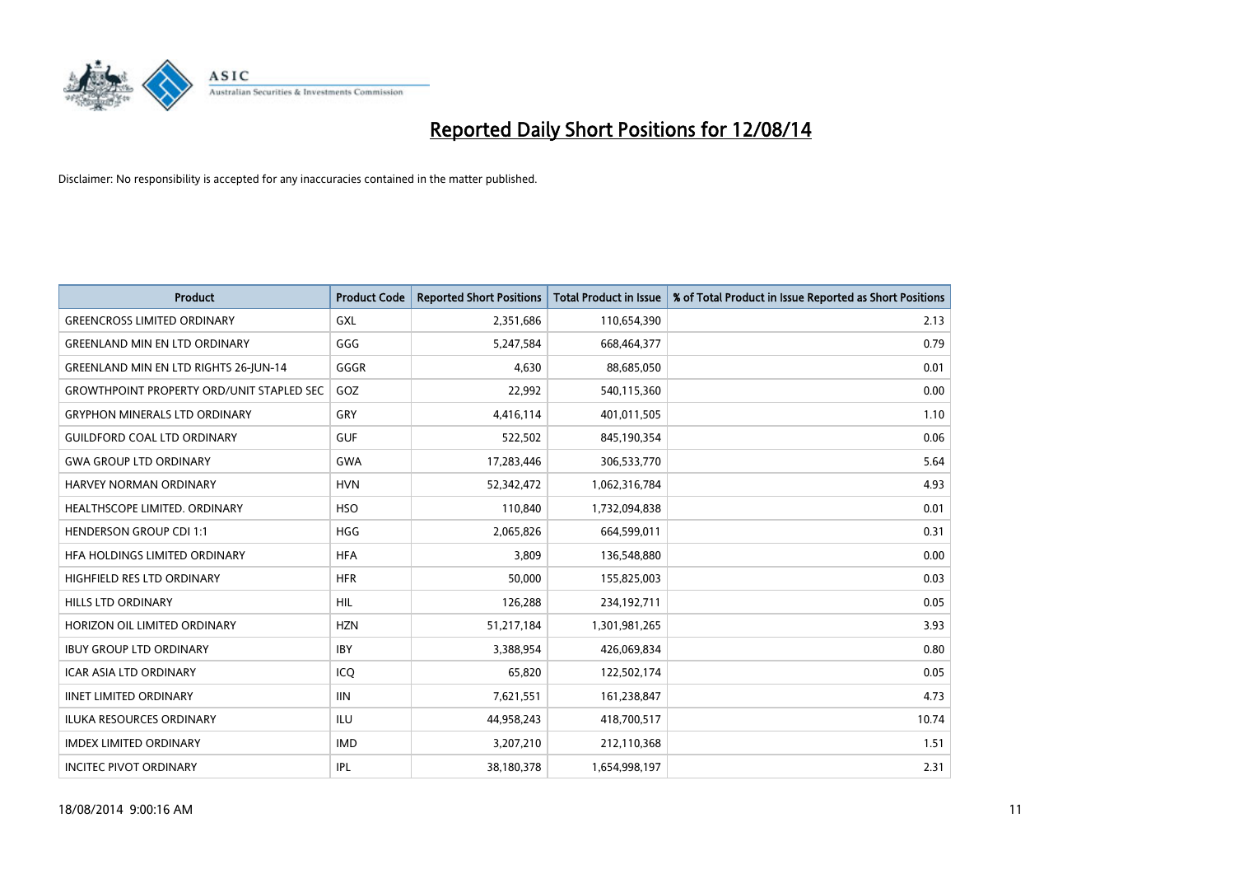

| <b>Product</b>                                   | <b>Product Code</b> | <b>Reported Short Positions</b> | <b>Total Product in Issue</b> | % of Total Product in Issue Reported as Short Positions |
|--------------------------------------------------|---------------------|---------------------------------|-------------------------------|---------------------------------------------------------|
| <b>GREENCROSS LIMITED ORDINARY</b>               | GXL                 | 2,351,686                       | 110,654,390                   | 2.13                                                    |
| <b>GREENLAND MIN EN LTD ORDINARY</b>             | GGG                 | 5,247,584                       | 668,464,377                   | 0.79                                                    |
| <b>GREENLAND MIN EN LTD RIGHTS 26-JUN-14</b>     | GGGR                | 4,630                           | 88,685,050                    | 0.01                                                    |
| <b>GROWTHPOINT PROPERTY ORD/UNIT STAPLED SEC</b> | GOZ                 | 22,992                          | 540,115,360                   | 0.00                                                    |
| <b>GRYPHON MINERALS LTD ORDINARY</b>             | GRY                 | 4,416,114                       | 401,011,505                   | 1.10                                                    |
| <b>GUILDFORD COAL LTD ORDINARY</b>               | <b>GUF</b>          | 522,502                         | 845,190,354                   | 0.06                                                    |
| <b>GWA GROUP LTD ORDINARY</b>                    | <b>GWA</b>          | 17,283,446                      | 306,533,770                   | 5.64                                                    |
| <b>HARVEY NORMAN ORDINARY</b>                    | <b>HVN</b>          | 52,342,472                      | 1,062,316,784                 | 4.93                                                    |
| HEALTHSCOPE LIMITED. ORDINARY                    | <b>HSO</b>          | 110,840                         | 1,732,094,838                 | 0.01                                                    |
| <b>HENDERSON GROUP CDI 1:1</b>                   | <b>HGG</b>          | 2,065,826                       | 664,599,011                   | 0.31                                                    |
| HFA HOLDINGS LIMITED ORDINARY                    | <b>HFA</b>          | 3,809                           | 136,548,880                   | 0.00                                                    |
| HIGHFIELD RES LTD ORDINARY                       | <b>HFR</b>          | 50,000                          | 155,825,003                   | 0.03                                                    |
| HILLS LTD ORDINARY                               | <b>HIL</b>          | 126,288                         | 234,192,711                   | 0.05                                                    |
| HORIZON OIL LIMITED ORDINARY                     | <b>HZN</b>          | 51,217,184                      | 1,301,981,265                 | 3.93                                                    |
| <b>IBUY GROUP LTD ORDINARY</b>                   | <b>IBY</b>          | 3,388,954                       | 426,069,834                   | 0.80                                                    |
| ICAR ASIA LTD ORDINARY                           | ICO                 | 65,820                          | 122,502,174                   | 0.05                                                    |
| <b>IINET LIMITED ORDINARY</b>                    | <b>IIN</b>          | 7,621,551                       | 161,238,847                   | 4.73                                                    |
| ILUKA RESOURCES ORDINARY                         | ILU                 | 44,958,243                      | 418,700,517                   | 10.74                                                   |
| <b>IMDEX LIMITED ORDINARY</b>                    | <b>IMD</b>          | 3,207,210                       | 212,110,368                   | 1.51                                                    |
| <b>INCITEC PIVOT ORDINARY</b>                    | IPL                 | 38,180,378                      | 1,654,998,197                 | 2.31                                                    |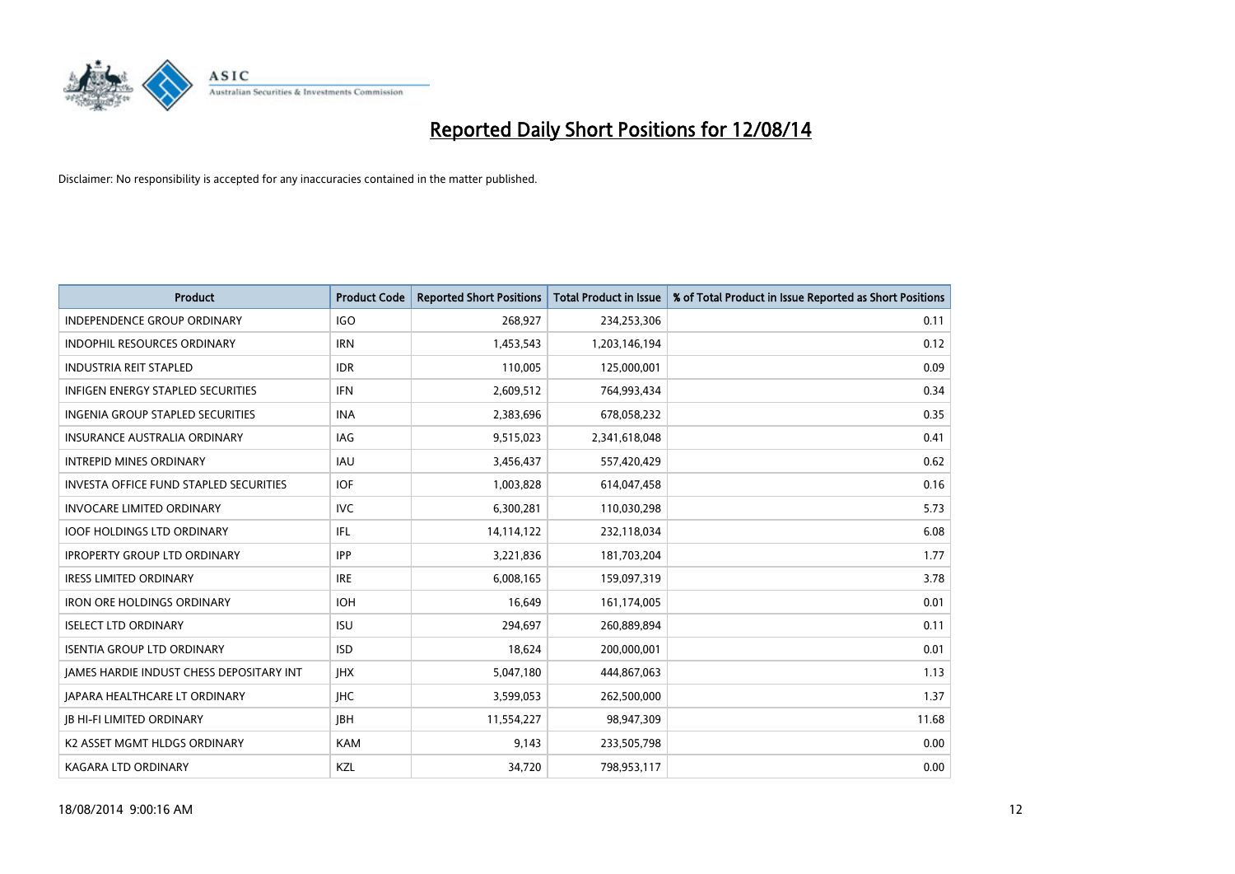

| <b>Product</b>                                | <b>Product Code</b> | <b>Reported Short Positions</b> | <b>Total Product in Issue</b> | % of Total Product in Issue Reported as Short Positions |
|-----------------------------------------------|---------------------|---------------------------------|-------------------------------|---------------------------------------------------------|
| <b>INDEPENDENCE GROUP ORDINARY</b>            | <b>IGO</b>          | 268,927                         | 234,253,306                   | 0.11                                                    |
| INDOPHIL RESOURCES ORDINARY                   | <b>IRN</b>          | 1,453,543                       | 1,203,146,194                 | 0.12                                                    |
| <b>INDUSTRIA REIT STAPLED</b>                 | <b>IDR</b>          | 110,005                         | 125,000,001                   | 0.09                                                    |
| <b>INFIGEN ENERGY STAPLED SECURITIES</b>      | <b>IFN</b>          | 2,609,512                       | 764,993,434                   | 0.34                                                    |
| INGENIA GROUP STAPLED SECURITIES              | <b>INA</b>          | 2,383,696                       | 678,058,232                   | 0.35                                                    |
| <b>INSURANCE AUSTRALIA ORDINARY</b>           | <b>IAG</b>          | 9,515,023                       | 2,341,618,048                 | 0.41                                                    |
| <b>INTREPID MINES ORDINARY</b>                | <b>IAU</b>          | 3,456,437                       | 557,420,429                   | 0.62                                                    |
| <b>INVESTA OFFICE FUND STAPLED SECURITIES</b> | <b>IOF</b>          | 1,003,828                       | 614,047,458                   | 0.16                                                    |
| <b>INVOCARE LIMITED ORDINARY</b>              | <b>IVC</b>          | 6,300,281                       | 110,030,298                   | 5.73                                                    |
| <b>IOOF HOLDINGS LTD ORDINARY</b>             | IFL                 | 14,114,122                      | 232,118,034                   | 6.08                                                    |
| <b>IPROPERTY GROUP LTD ORDINARY</b>           | <b>IPP</b>          | 3,221,836                       | 181,703,204                   | 1.77                                                    |
| <b>IRESS LIMITED ORDINARY</b>                 | <b>IRE</b>          | 6,008,165                       | 159,097,319                   | 3.78                                                    |
| <b>IRON ORE HOLDINGS ORDINARY</b>             | <b>IOH</b>          | 16,649                          | 161,174,005                   | 0.01                                                    |
| <b>ISELECT LTD ORDINARY</b>                   | <b>ISU</b>          | 294,697                         | 260,889,894                   | 0.11                                                    |
| <b>ISENTIA GROUP LTD ORDINARY</b>             | <b>ISD</b>          | 18,624                          | 200,000,001                   | 0.01                                                    |
| JAMES HARDIE INDUST CHESS DEPOSITARY INT      | <b>IHX</b>          | 5,047,180                       | 444,867,063                   | 1.13                                                    |
| <b>JAPARA HEALTHCARE LT ORDINARY</b>          | <b>IHC</b>          | 3,599,053                       | 262,500,000                   | 1.37                                                    |
| <b>IB HI-FI LIMITED ORDINARY</b>              | <b>JBH</b>          | 11,554,227                      | 98,947,309                    | 11.68                                                   |
| K2 ASSET MGMT HLDGS ORDINARY                  | <b>KAM</b>          | 9,143                           | 233,505,798                   | 0.00                                                    |
| <b>KAGARA LTD ORDINARY</b>                    | KZL                 | 34,720                          | 798,953,117                   | 0.00                                                    |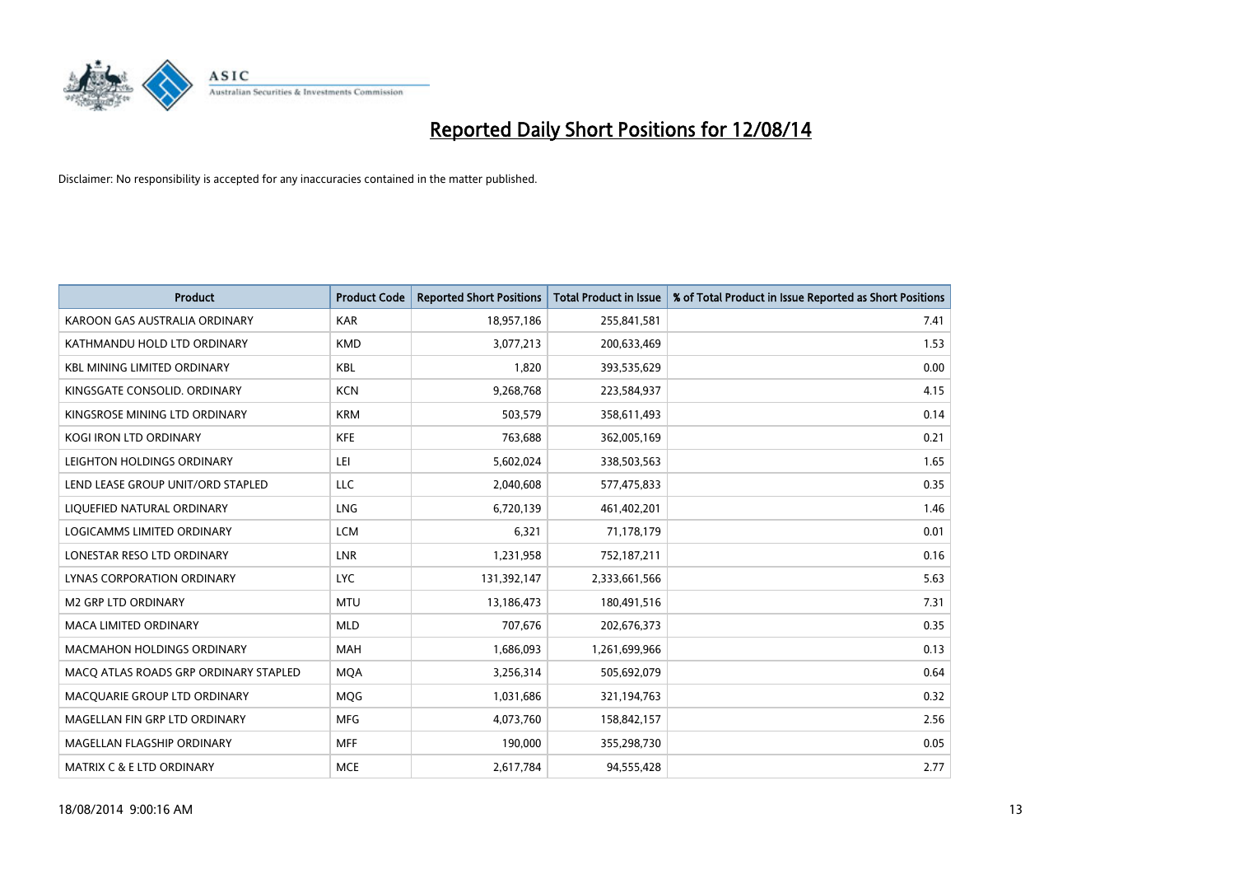

| <b>Product</b>                        | <b>Product Code</b> | <b>Reported Short Positions</b> | <b>Total Product in Issue</b> | % of Total Product in Issue Reported as Short Positions |
|---------------------------------------|---------------------|---------------------------------|-------------------------------|---------------------------------------------------------|
| KAROON GAS AUSTRALIA ORDINARY         | <b>KAR</b>          | 18,957,186                      | 255,841,581                   | 7.41                                                    |
| KATHMANDU HOLD LTD ORDINARY           | <b>KMD</b>          | 3,077,213                       | 200,633,469                   | 1.53                                                    |
| <b>KBL MINING LIMITED ORDINARY</b>    | <b>KBL</b>          | 1,820                           | 393,535,629                   | 0.00                                                    |
| KINGSGATE CONSOLID. ORDINARY          | <b>KCN</b>          | 9,268,768                       | 223,584,937                   | 4.15                                                    |
| KINGSROSE MINING LTD ORDINARY         | <b>KRM</b>          | 503,579                         | 358,611,493                   | 0.14                                                    |
| <b>KOGI IRON LTD ORDINARY</b>         | <b>KFE</b>          | 763,688                         | 362,005,169                   | 0.21                                                    |
| LEIGHTON HOLDINGS ORDINARY            | LEI                 | 5,602,024                       | 338,503,563                   | 1.65                                                    |
| LEND LEASE GROUP UNIT/ORD STAPLED     | LLC                 | 2,040,608                       | 577,475,833                   | 0.35                                                    |
| LIQUEFIED NATURAL ORDINARY            | LNG                 | 6,720,139                       | 461,402,201                   | 1.46                                                    |
| <b>LOGICAMMS LIMITED ORDINARY</b>     | <b>LCM</b>          | 6,321                           | 71,178,179                    | 0.01                                                    |
| LONESTAR RESO LTD ORDINARY            | LNR                 | 1,231,958                       | 752,187,211                   | 0.16                                                    |
| <b>LYNAS CORPORATION ORDINARY</b>     | <b>LYC</b>          | 131,392,147                     | 2,333,661,566                 | 5.63                                                    |
| <b>M2 GRP LTD ORDINARY</b>            | <b>MTU</b>          | 13,186,473                      | 180,491,516                   | 7.31                                                    |
| <b>MACA LIMITED ORDINARY</b>          | <b>MLD</b>          | 707,676                         | 202,676,373                   | 0.35                                                    |
| <b>MACMAHON HOLDINGS ORDINARY</b>     | <b>MAH</b>          | 1,686,093                       | 1,261,699,966                 | 0.13                                                    |
| MACO ATLAS ROADS GRP ORDINARY STAPLED | <b>MOA</b>          | 3,256,314                       | 505,692,079                   | 0.64                                                    |
| MACQUARIE GROUP LTD ORDINARY          | MQG                 | 1,031,686                       | 321,194,763                   | 0.32                                                    |
| MAGELLAN FIN GRP LTD ORDINARY         | <b>MFG</b>          | 4,073,760                       | 158,842,157                   | 2.56                                                    |
| MAGELLAN FLAGSHIP ORDINARY            | <b>MFF</b>          | 190,000                         | 355,298,730                   | 0.05                                                    |
| <b>MATRIX C &amp; E LTD ORDINARY</b>  | <b>MCE</b>          | 2,617,784                       | 94,555,428                    | 2.77                                                    |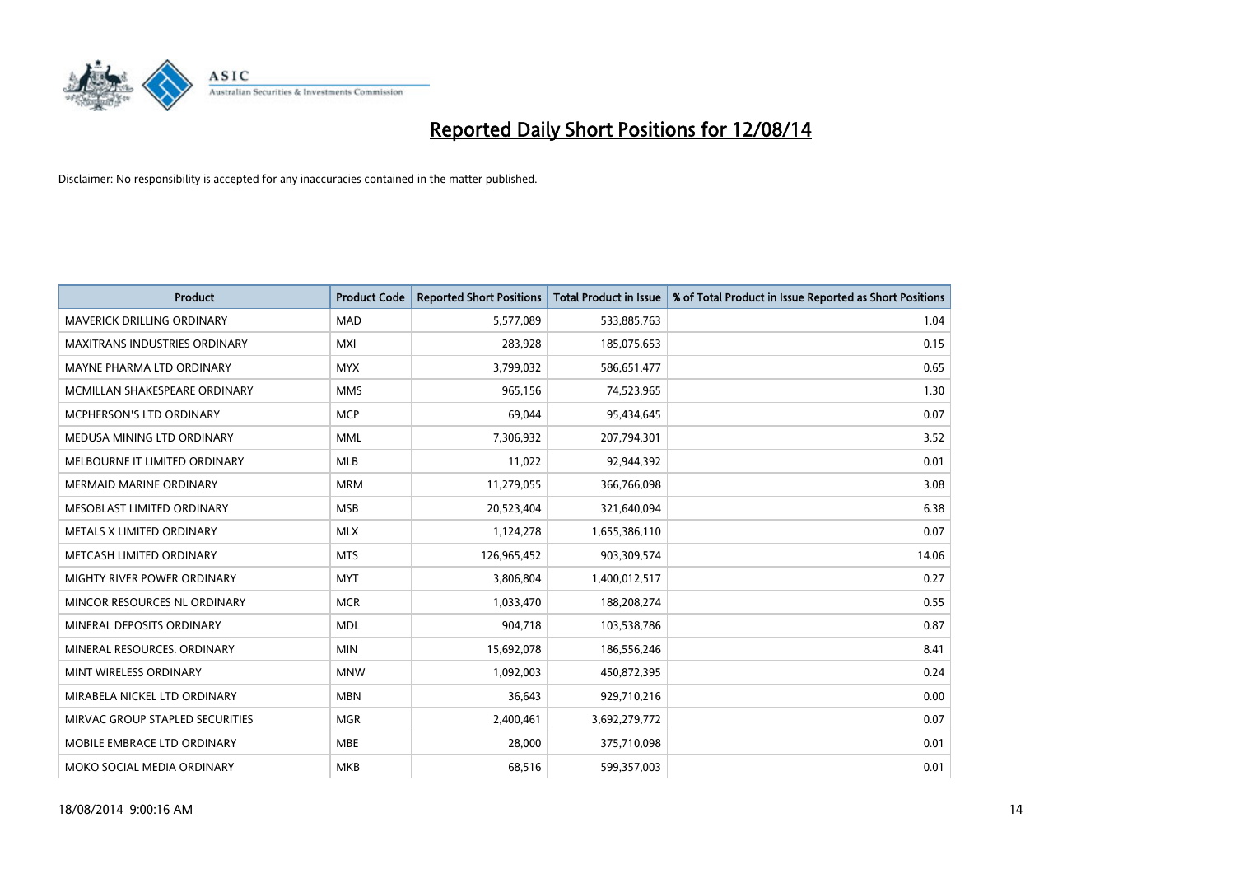

| <b>Product</b>                    | <b>Product Code</b> | <b>Reported Short Positions</b> | <b>Total Product in Issue</b> | % of Total Product in Issue Reported as Short Positions |
|-----------------------------------|---------------------|---------------------------------|-------------------------------|---------------------------------------------------------|
| <b>MAVERICK DRILLING ORDINARY</b> | <b>MAD</b>          | 5,577,089                       | 533,885,763                   | 1.04                                                    |
| MAXITRANS INDUSTRIES ORDINARY     | MXI                 | 283,928                         | 185,075,653                   | 0.15                                                    |
| MAYNE PHARMA LTD ORDINARY         | <b>MYX</b>          | 3,799,032                       | 586,651,477                   | 0.65                                                    |
| MCMILLAN SHAKESPEARE ORDINARY     | <b>MMS</b>          | 965,156                         | 74,523,965                    | 1.30                                                    |
| <b>MCPHERSON'S LTD ORDINARY</b>   | <b>MCP</b>          | 69,044                          | 95,434,645                    | 0.07                                                    |
| MEDUSA MINING LTD ORDINARY        | <b>MML</b>          | 7,306,932                       | 207,794,301                   | 3.52                                                    |
| MELBOURNE IT LIMITED ORDINARY     | <b>MLB</b>          | 11,022                          | 92,944,392                    | 0.01                                                    |
| <b>MERMAID MARINE ORDINARY</b>    | <b>MRM</b>          | 11,279,055                      | 366,766,098                   | 3.08                                                    |
| MESOBLAST LIMITED ORDINARY        | <b>MSB</b>          | 20,523,404                      | 321,640,094                   | 6.38                                                    |
| METALS X LIMITED ORDINARY         | <b>MLX</b>          | 1,124,278                       | 1,655,386,110                 | 0.07                                                    |
| METCASH LIMITED ORDINARY          | <b>MTS</b>          | 126,965,452                     | 903,309,574                   | 14.06                                                   |
| MIGHTY RIVER POWER ORDINARY       | <b>MYT</b>          | 3,806,804                       | 1,400,012,517                 | 0.27                                                    |
| MINCOR RESOURCES NL ORDINARY      | <b>MCR</b>          | 1,033,470                       | 188,208,274                   | 0.55                                                    |
| MINERAL DEPOSITS ORDINARY         | <b>MDL</b>          | 904,718                         | 103,538,786                   | 0.87                                                    |
| MINERAL RESOURCES, ORDINARY       | <b>MIN</b>          | 15,692,078                      | 186,556,246                   | 8.41                                                    |
| MINT WIRELESS ORDINARY            | <b>MNW</b>          | 1,092,003                       | 450,872,395                   | 0.24                                                    |
| MIRABELA NICKEL LTD ORDINARY      | <b>MBN</b>          | 36,643                          | 929,710,216                   | 0.00                                                    |
| MIRVAC GROUP STAPLED SECURITIES   | <b>MGR</b>          | 2,400,461                       | 3,692,279,772                 | 0.07                                                    |
| MOBILE EMBRACE LTD ORDINARY       | <b>MBE</b>          | 28,000                          | 375,710,098                   | 0.01                                                    |
| MOKO SOCIAL MEDIA ORDINARY        | <b>MKB</b>          | 68,516                          | 599,357,003                   | 0.01                                                    |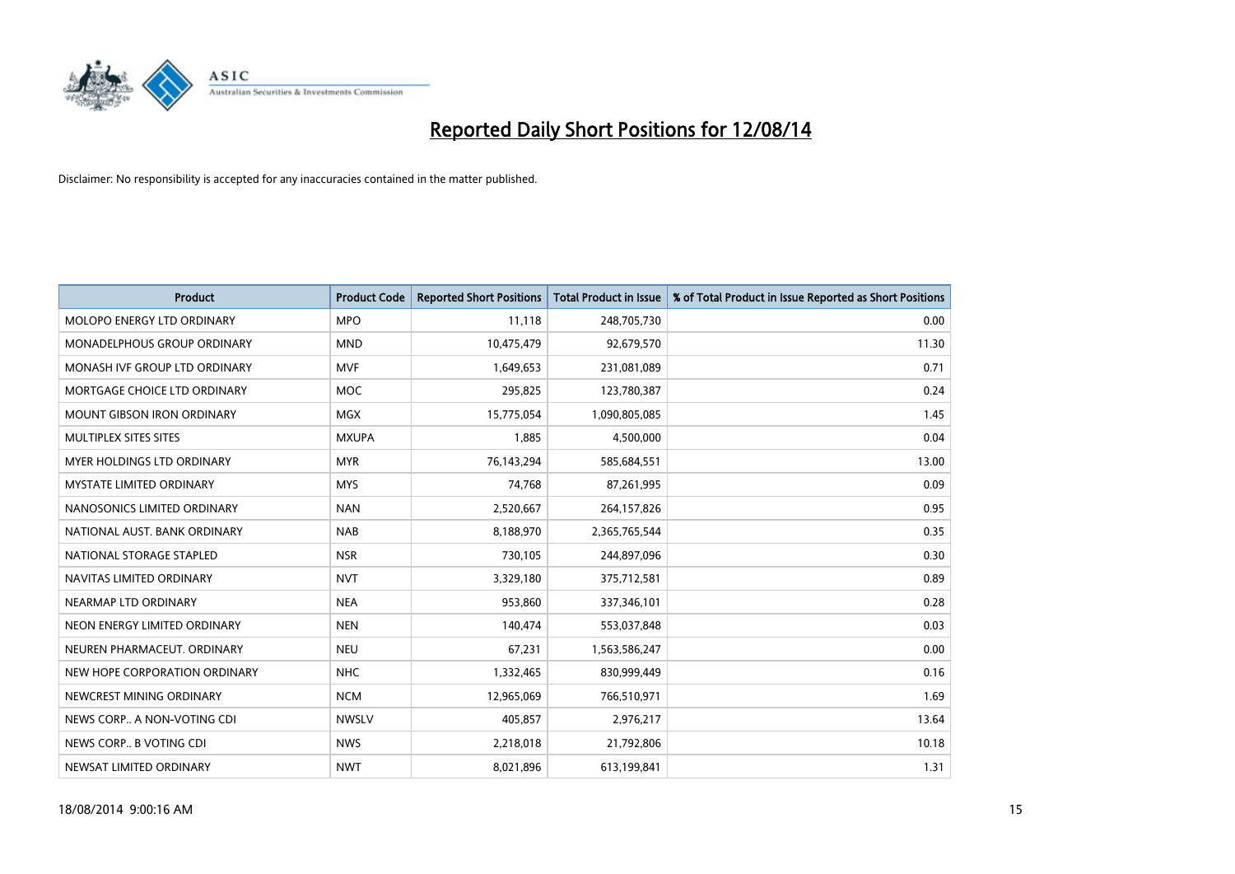

| <b>Product</b>                    | <b>Product Code</b> | <b>Reported Short Positions</b> | <b>Total Product in Issue</b> | % of Total Product in Issue Reported as Short Positions |
|-----------------------------------|---------------------|---------------------------------|-------------------------------|---------------------------------------------------------|
| MOLOPO ENERGY LTD ORDINARY        | <b>MPO</b>          | 11,118                          | 248,705,730                   | 0.00                                                    |
| MONADELPHOUS GROUP ORDINARY       | <b>MND</b>          | 10,475,479                      | 92,679,570                    | 11.30                                                   |
| MONASH IVF GROUP LTD ORDINARY     | <b>MVF</b>          | 1,649,653                       | 231,081,089                   | 0.71                                                    |
| MORTGAGE CHOICE LTD ORDINARY      | <b>MOC</b>          | 295,825                         | 123,780,387                   | 0.24                                                    |
| <b>MOUNT GIBSON IRON ORDINARY</b> | <b>MGX</b>          | 15,775,054                      | 1,090,805,085                 | 1.45                                                    |
| MULTIPLEX SITES SITES             | <b>MXUPA</b>        | 1,885                           | 4,500,000                     | 0.04                                                    |
| <b>MYER HOLDINGS LTD ORDINARY</b> | <b>MYR</b>          | 76,143,294                      | 585,684,551                   | 13.00                                                   |
| <b>MYSTATE LIMITED ORDINARY</b>   | <b>MYS</b>          | 74,768                          | 87,261,995                    | 0.09                                                    |
| NANOSONICS LIMITED ORDINARY       | <b>NAN</b>          | 2,520,667                       | 264,157,826                   | 0.95                                                    |
| NATIONAL AUST, BANK ORDINARY      | <b>NAB</b>          | 8,188,970                       | 2,365,765,544                 | 0.35                                                    |
| NATIONAL STORAGE STAPLED          | <b>NSR</b>          | 730,105                         | 244,897,096                   | 0.30                                                    |
| NAVITAS LIMITED ORDINARY          | <b>NVT</b>          | 3,329,180                       | 375,712,581                   | 0.89                                                    |
| NEARMAP LTD ORDINARY              | <b>NEA</b>          | 953,860                         | 337,346,101                   | 0.28                                                    |
| NEON ENERGY LIMITED ORDINARY      | <b>NEN</b>          | 140,474                         | 553,037,848                   | 0.03                                                    |
| NEUREN PHARMACEUT, ORDINARY       | <b>NEU</b>          | 67,231                          | 1,563,586,247                 | 0.00                                                    |
| NEW HOPE CORPORATION ORDINARY     | <b>NHC</b>          | 1,332,465                       | 830,999,449                   | 0.16                                                    |
| NEWCREST MINING ORDINARY          | <b>NCM</b>          | 12,965,069                      | 766,510,971                   | 1.69                                                    |
| NEWS CORP A NON-VOTING CDI        | <b>NWSLV</b>        | 405,857                         | 2,976,217                     | 13.64                                                   |
| NEWS CORP B VOTING CDI            | <b>NWS</b>          | 2,218,018                       | 21,792,806                    | 10.18                                                   |
| NEWSAT LIMITED ORDINARY           | <b>NWT</b>          | 8,021,896                       | 613,199,841                   | 1.31                                                    |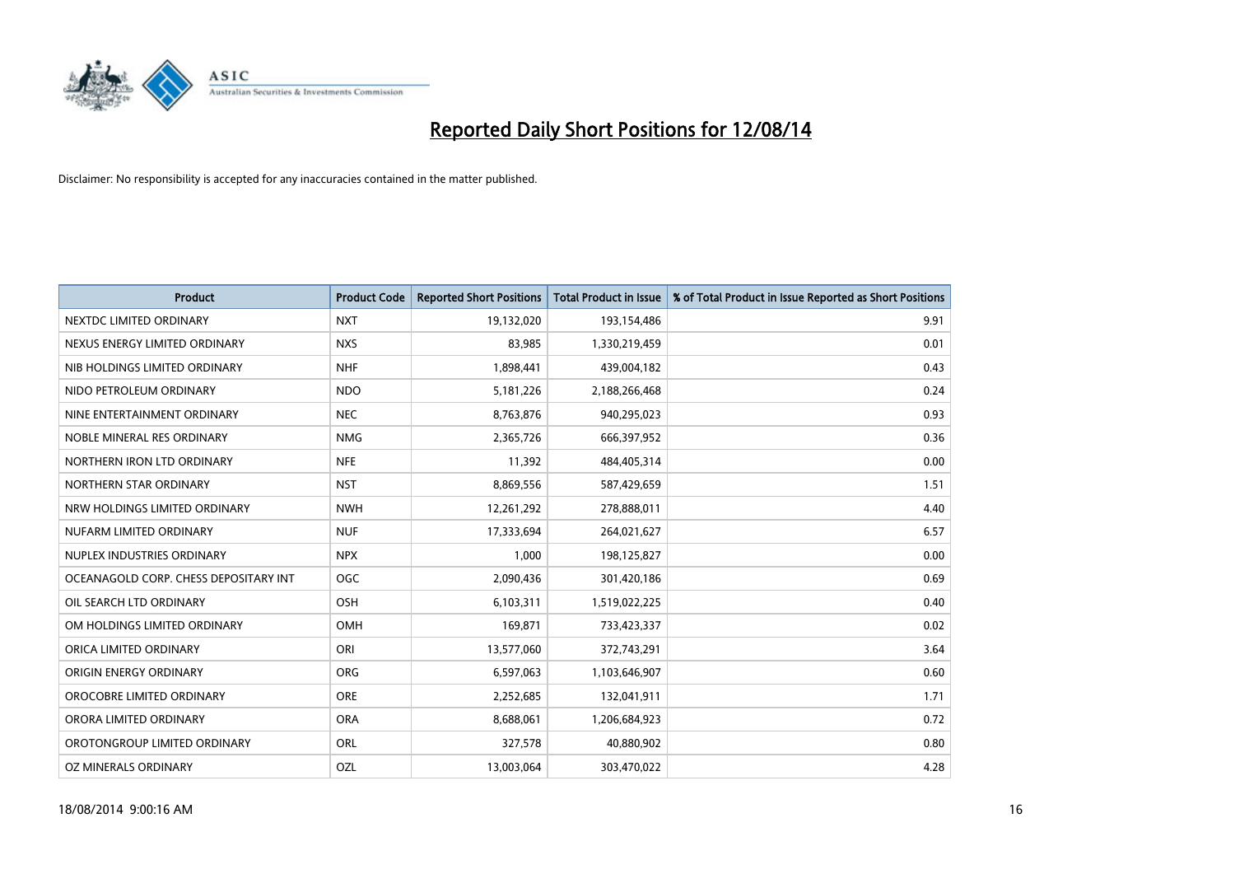

| Product                               | <b>Product Code</b> | <b>Reported Short Positions</b> | <b>Total Product in Issue</b> | % of Total Product in Issue Reported as Short Positions |
|---------------------------------------|---------------------|---------------------------------|-------------------------------|---------------------------------------------------------|
| NEXTDC LIMITED ORDINARY               | <b>NXT</b>          | 19,132,020                      | 193,154,486                   | 9.91                                                    |
| NEXUS ENERGY LIMITED ORDINARY         | <b>NXS</b>          | 83,985                          | 1,330,219,459                 | 0.01                                                    |
| NIB HOLDINGS LIMITED ORDINARY         | <b>NHF</b>          | 1,898,441                       | 439,004,182                   | 0.43                                                    |
| NIDO PETROLEUM ORDINARY               | <b>NDO</b>          | 5,181,226                       | 2,188,266,468                 | 0.24                                                    |
| NINE ENTERTAINMENT ORDINARY           | <b>NEC</b>          | 8,763,876                       | 940,295,023                   | 0.93                                                    |
| NOBLE MINERAL RES ORDINARY            | <b>NMG</b>          | 2,365,726                       | 666,397,952                   | 0.36                                                    |
| NORTHERN IRON LTD ORDINARY            | <b>NFE</b>          | 11,392                          | 484,405,314                   | 0.00                                                    |
| NORTHERN STAR ORDINARY                | <b>NST</b>          | 8,869,556                       | 587,429,659                   | 1.51                                                    |
| NRW HOLDINGS LIMITED ORDINARY         | <b>NWH</b>          | 12,261,292                      | 278,888,011                   | 4.40                                                    |
| NUFARM LIMITED ORDINARY               | <b>NUF</b>          | 17,333,694                      | 264,021,627                   | 6.57                                                    |
| NUPLEX INDUSTRIES ORDINARY            | <b>NPX</b>          | 1,000                           | 198,125,827                   | 0.00                                                    |
| OCEANAGOLD CORP. CHESS DEPOSITARY INT | <b>OGC</b>          | 2,090,436                       | 301,420,186                   | 0.69                                                    |
| OIL SEARCH LTD ORDINARY               | OSH                 | 6,103,311                       | 1,519,022,225                 | 0.40                                                    |
| OM HOLDINGS LIMITED ORDINARY          | OMH                 | 169,871                         | 733,423,337                   | 0.02                                                    |
| ORICA LIMITED ORDINARY                | ORI                 | 13,577,060                      | 372,743,291                   | 3.64                                                    |
| ORIGIN ENERGY ORDINARY                | ORG                 | 6,597,063                       | 1,103,646,907                 | 0.60                                                    |
| OROCOBRE LIMITED ORDINARY             | <b>ORE</b>          | 2,252,685                       | 132,041,911                   | 1.71                                                    |
| ORORA LIMITED ORDINARY                | <b>ORA</b>          | 8,688,061                       | 1,206,684,923                 | 0.72                                                    |
| OROTONGROUP LIMITED ORDINARY          | ORL                 | 327,578                         | 40,880,902                    | 0.80                                                    |
| OZ MINERALS ORDINARY                  | OZL                 | 13,003,064                      | 303,470,022                   | 4.28                                                    |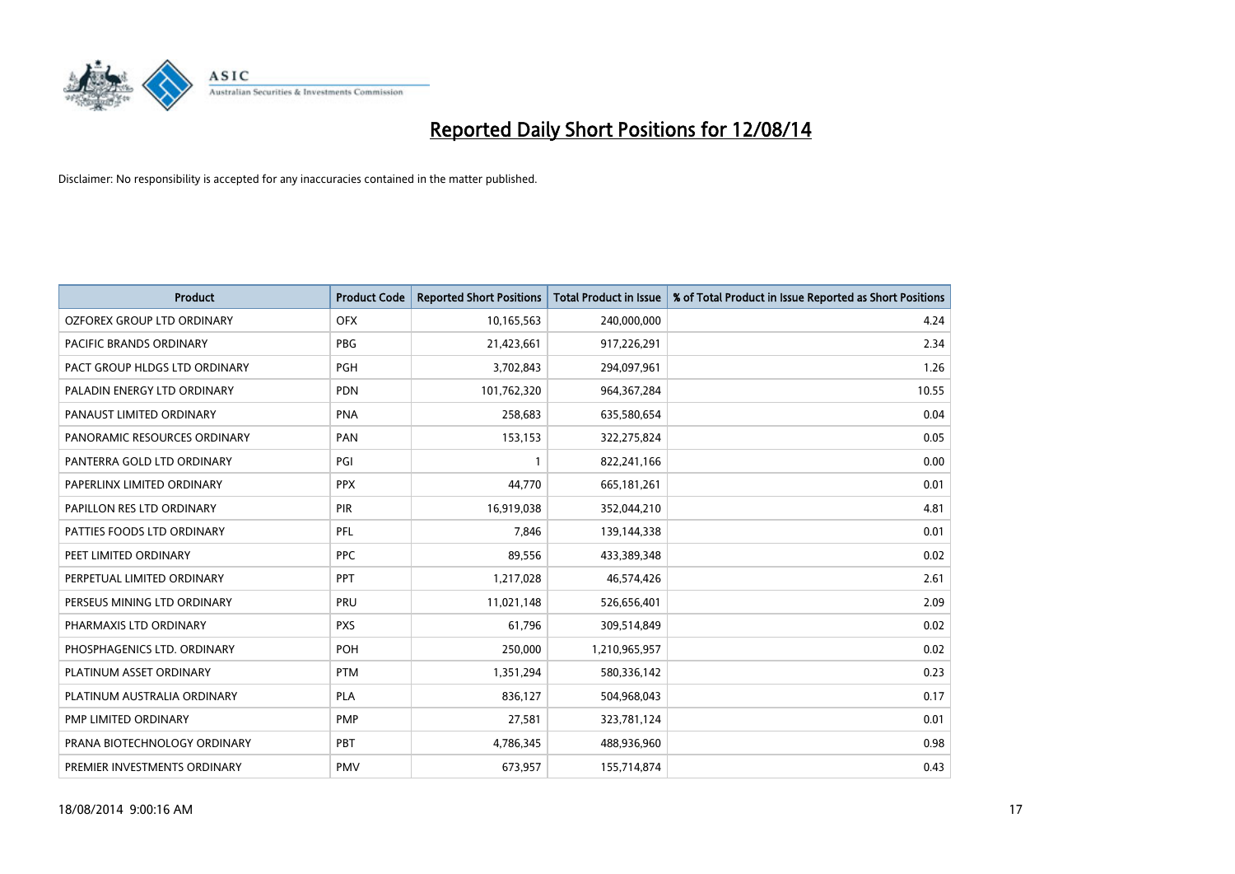

| <b>Product</b>                | <b>Product Code</b> | <b>Reported Short Positions</b> | <b>Total Product in Issue</b> | % of Total Product in Issue Reported as Short Positions |
|-------------------------------|---------------------|---------------------------------|-------------------------------|---------------------------------------------------------|
| OZFOREX GROUP LTD ORDINARY    | <b>OFX</b>          | 10,165,563                      | 240,000,000                   | 4.24                                                    |
| PACIFIC BRANDS ORDINARY       | <b>PBG</b>          | 21,423,661                      | 917,226,291                   | 2.34                                                    |
| PACT GROUP HLDGS LTD ORDINARY | PGH                 | 3,702,843                       | 294,097,961                   | 1.26                                                    |
| PALADIN ENERGY LTD ORDINARY   | <b>PDN</b>          | 101,762,320                     | 964, 367, 284                 | 10.55                                                   |
| PANAUST LIMITED ORDINARY      | <b>PNA</b>          | 258,683                         | 635,580,654                   | 0.04                                                    |
| PANORAMIC RESOURCES ORDINARY  | PAN                 | 153,153                         | 322,275,824                   | 0.05                                                    |
| PANTERRA GOLD LTD ORDINARY    | PGI                 | $\mathbf 1$                     | 822,241,166                   | 0.00                                                    |
| PAPERLINX LIMITED ORDINARY    | <b>PPX</b>          | 44,770                          | 665, 181, 261                 | 0.01                                                    |
| PAPILLON RES LTD ORDINARY     | PIR                 | 16,919,038                      | 352,044,210                   | 4.81                                                    |
| PATTIES FOODS LTD ORDINARY    | <b>PFL</b>          | 7,846                           | 139,144,338                   | 0.01                                                    |
| PEET LIMITED ORDINARY         | <b>PPC</b>          | 89,556                          | 433,389,348                   | 0.02                                                    |
| PERPETUAL LIMITED ORDINARY    | PPT                 | 1,217,028                       | 46,574,426                    | 2.61                                                    |
| PERSEUS MINING LTD ORDINARY   | PRU                 | 11,021,148                      | 526,656,401                   | 2.09                                                    |
| PHARMAXIS LTD ORDINARY        | <b>PXS</b>          | 61,796                          | 309,514,849                   | 0.02                                                    |
| PHOSPHAGENICS LTD. ORDINARY   | POH                 | 250,000                         | 1,210,965,957                 | 0.02                                                    |
| PLATINUM ASSET ORDINARY       | <b>PTM</b>          | 1,351,294                       | 580,336,142                   | 0.23                                                    |
| PLATINUM AUSTRALIA ORDINARY   | <b>PLA</b>          | 836,127                         | 504,968,043                   | 0.17                                                    |
| PMP LIMITED ORDINARY          | <b>PMP</b>          | 27,581                          | 323,781,124                   | 0.01                                                    |
| PRANA BIOTECHNOLOGY ORDINARY  | PBT                 | 4,786,345                       | 488,936,960                   | 0.98                                                    |
| PREMIER INVESTMENTS ORDINARY  | <b>PMV</b>          | 673,957                         | 155,714,874                   | 0.43                                                    |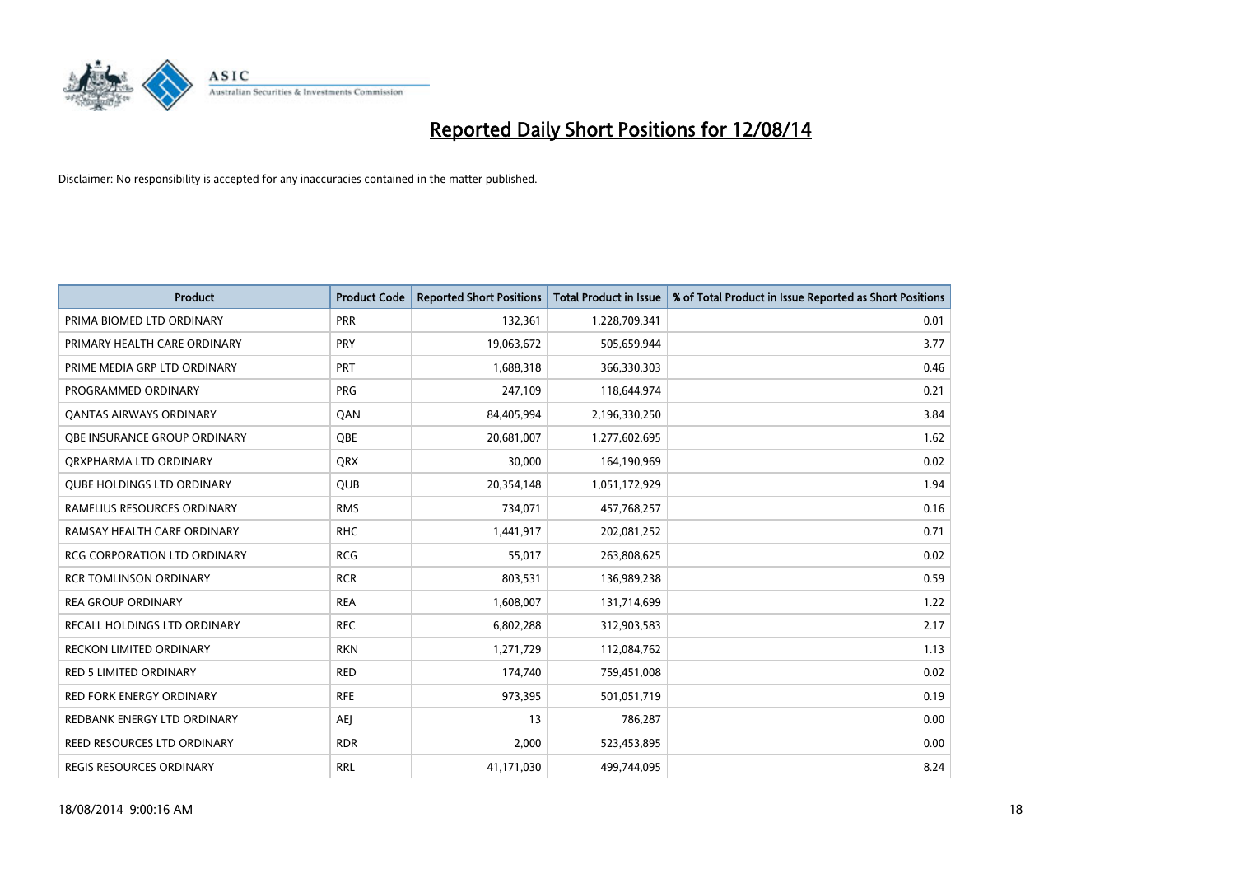

| <b>Product</b>                     | <b>Product Code</b> | <b>Reported Short Positions</b> | <b>Total Product in Issue</b> | % of Total Product in Issue Reported as Short Positions |
|------------------------------------|---------------------|---------------------------------|-------------------------------|---------------------------------------------------------|
| PRIMA BIOMED LTD ORDINARY          | <b>PRR</b>          | 132,361                         | 1,228,709,341                 | 0.01                                                    |
| PRIMARY HEALTH CARE ORDINARY       | <b>PRY</b>          | 19,063,672                      | 505,659,944                   | 3.77                                                    |
| PRIME MEDIA GRP LTD ORDINARY       | <b>PRT</b>          | 1,688,318                       | 366,330,303                   | 0.46                                                    |
| PROGRAMMED ORDINARY                | <b>PRG</b>          | 247,109                         | 118,644,974                   | 0.21                                                    |
| <b>QANTAS AIRWAYS ORDINARY</b>     | QAN                 | 84,405,994                      | 2,196,330,250                 | 3.84                                                    |
| OBE INSURANCE GROUP ORDINARY       | <b>OBE</b>          | 20,681,007                      | 1,277,602,695                 | 1.62                                                    |
| ORXPHARMA LTD ORDINARY             | QRX                 | 30,000                          | 164,190,969                   | 0.02                                                    |
| <b>QUBE HOLDINGS LTD ORDINARY</b>  | QUB                 | 20,354,148                      | 1,051,172,929                 | 1.94                                                    |
| RAMELIUS RESOURCES ORDINARY        | <b>RMS</b>          | 734,071                         | 457,768,257                   | 0.16                                                    |
| RAMSAY HEALTH CARE ORDINARY        | <b>RHC</b>          | 1,441,917                       | 202,081,252                   | 0.71                                                    |
| RCG CORPORATION LTD ORDINARY       | <b>RCG</b>          | 55,017                          | 263,808,625                   | 0.02                                                    |
| <b>RCR TOMLINSON ORDINARY</b>      | <b>RCR</b>          | 803,531                         | 136,989,238                   | 0.59                                                    |
| <b>REA GROUP ORDINARY</b>          | <b>REA</b>          | 1,608,007                       | 131,714,699                   | 1.22                                                    |
| RECALL HOLDINGS LTD ORDINARY       | <b>REC</b>          | 6,802,288                       | 312,903,583                   | 2.17                                                    |
| RECKON LIMITED ORDINARY            | <b>RKN</b>          | 1,271,729                       | 112,084,762                   | 1.13                                                    |
| <b>RED 5 LIMITED ORDINARY</b>      | <b>RED</b>          | 174,740                         | 759,451,008                   | 0.02                                                    |
| <b>RED FORK ENERGY ORDINARY</b>    | <b>RFE</b>          | 973,395                         | 501,051,719                   | 0.19                                                    |
| REDBANK ENERGY LTD ORDINARY        | AEJ                 | 13                              | 786,287                       | 0.00                                                    |
| <b>REED RESOURCES LTD ORDINARY</b> | <b>RDR</b>          | 2,000                           | 523,453,895                   | 0.00                                                    |
| REGIS RESOURCES ORDINARY           | <b>RRL</b>          | 41,171,030                      | 499,744,095                   | 8.24                                                    |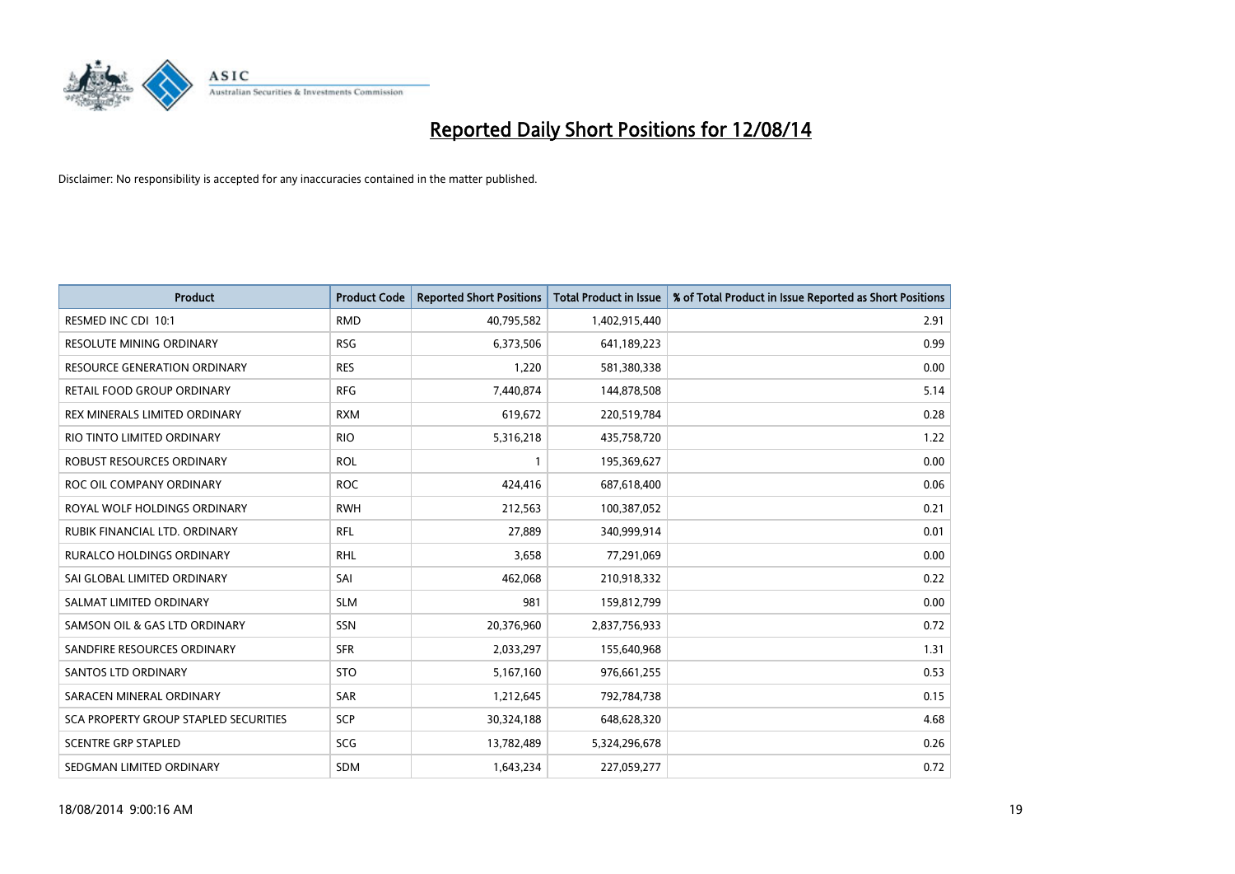

| <b>Product</b>                        | <b>Product Code</b> | <b>Reported Short Positions</b> | <b>Total Product in Issue</b> | % of Total Product in Issue Reported as Short Positions |
|---------------------------------------|---------------------|---------------------------------|-------------------------------|---------------------------------------------------------|
| RESMED INC CDI 10:1                   | <b>RMD</b>          | 40,795,582                      | 1,402,915,440                 | 2.91                                                    |
| RESOLUTE MINING ORDINARY              | <b>RSG</b>          | 6,373,506                       | 641,189,223                   | 0.99                                                    |
| <b>RESOURCE GENERATION ORDINARY</b>   | <b>RES</b>          | 1,220                           | 581,380,338                   | 0.00                                                    |
| RETAIL FOOD GROUP ORDINARY            | <b>RFG</b>          | 7,440,874                       | 144,878,508                   | 5.14                                                    |
| REX MINERALS LIMITED ORDINARY         | <b>RXM</b>          | 619,672                         | 220,519,784                   | 0.28                                                    |
| RIO TINTO LIMITED ORDINARY            | <b>RIO</b>          | 5,316,218                       | 435,758,720                   | 1.22                                                    |
| ROBUST RESOURCES ORDINARY             | <b>ROL</b>          | $\mathbf{1}$                    | 195,369,627                   | 0.00                                                    |
| ROC OIL COMPANY ORDINARY              | <b>ROC</b>          | 424,416                         | 687,618,400                   | 0.06                                                    |
| ROYAL WOLF HOLDINGS ORDINARY          | <b>RWH</b>          | 212,563                         | 100,387,052                   | 0.21                                                    |
| RUBIK FINANCIAL LTD, ORDINARY         | RFL                 | 27,889                          | 340,999,914                   | 0.01                                                    |
| RURALCO HOLDINGS ORDINARY             | <b>RHL</b>          | 3,658                           | 77,291,069                    | 0.00                                                    |
| SAI GLOBAL LIMITED ORDINARY           | SAI                 | 462,068                         | 210,918,332                   | 0.22                                                    |
| SALMAT LIMITED ORDINARY               | <b>SLM</b>          | 981                             | 159,812,799                   | 0.00                                                    |
| SAMSON OIL & GAS LTD ORDINARY         | SSN                 | 20,376,960                      | 2,837,756,933                 | 0.72                                                    |
| SANDFIRE RESOURCES ORDINARY           | <b>SFR</b>          | 2,033,297                       | 155,640,968                   | 1.31                                                    |
| SANTOS LTD ORDINARY                   | <b>STO</b>          | 5,167,160                       | 976,661,255                   | 0.53                                                    |
| SARACEN MINERAL ORDINARY              | SAR                 | 1,212,645                       | 792,784,738                   | 0.15                                                    |
| SCA PROPERTY GROUP STAPLED SECURITIES | <b>SCP</b>          | 30,324,188                      | 648,628,320                   | 4.68                                                    |
| <b>SCENTRE GRP STAPLED</b>            | SCG                 | 13,782,489                      | 5,324,296,678                 | 0.26                                                    |
| SEDGMAN LIMITED ORDINARY              | <b>SDM</b>          | 1,643,234                       | 227,059,277                   | 0.72                                                    |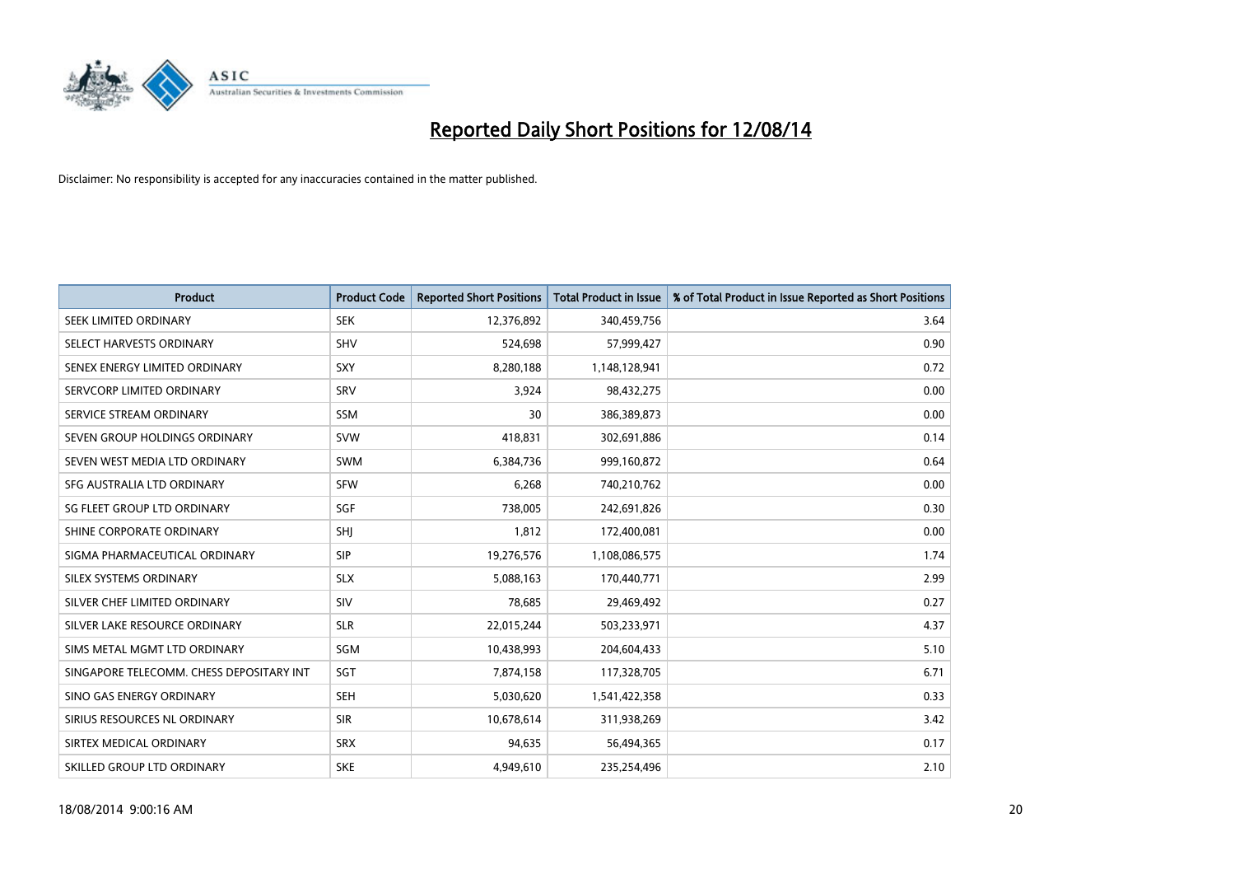

| <b>Product</b>                           | <b>Product Code</b> | <b>Reported Short Positions</b> | <b>Total Product in Issue</b> | % of Total Product in Issue Reported as Short Positions |
|------------------------------------------|---------------------|---------------------------------|-------------------------------|---------------------------------------------------------|
| SEEK LIMITED ORDINARY                    | <b>SEK</b>          | 12,376,892                      | 340,459,756                   | 3.64                                                    |
| SELECT HARVESTS ORDINARY                 | <b>SHV</b>          | 524,698                         | 57,999,427                    | 0.90                                                    |
| SENEX ENERGY LIMITED ORDINARY            | <b>SXY</b>          | 8,280,188                       | 1,148,128,941                 | 0.72                                                    |
| SERVCORP LIMITED ORDINARY                | SRV                 | 3,924                           | 98,432,275                    | 0.00                                                    |
| SERVICE STREAM ORDINARY                  | SSM                 | 30                              | 386,389,873                   | 0.00                                                    |
| SEVEN GROUP HOLDINGS ORDINARY            | <b>SVW</b>          | 418,831                         | 302,691,886                   | 0.14                                                    |
| SEVEN WEST MEDIA LTD ORDINARY            | SWM                 | 6,384,736                       | 999,160,872                   | 0.64                                                    |
| SFG AUSTRALIA LTD ORDINARY               | <b>SFW</b>          | 6,268                           | 740,210,762                   | 0.00                                                    |
| SG FLEET GROUP LTD ORDINARY              | SGF                 | 738,005                         | 242,691,826                   | 0.30                                                    |
| SHINE CORPORATE ORDINARY                 | <b>SHI</b>          | 1,812                           | 172,400,081                   | 0.00                                                    |
| SIGMA PHARMACEUTICAL ORDINARY            | <b>SIP</b>          | 19,276,576                      | 1,108,086,575                 | 1.74                                                    |
| SILEX SYSTEMS ORDINARY                   | <b>SLX</b>          | 5,088,163                       | 170,440,771                   | 2.99                                                    |
| SILVER CHEF LIMITED ORDINARY             | SIV                 | 78,685                          | 29,469,492                    | 0.27                                                    |
| SILVER LAKE RESOURCE ORDINARY            | <b>SLR</b>          | 22,015,244                      | 503,233,971                   | 4.37                                                    |
| SIMS METAL MGMT LTD ORDINARY             | SGM                 | 10,438,993                      | 204,604,433                   | 5.10                                                    |
| SINGAPORE TELECOMM. CHESS DEPOSITARY INT | SGT                 | 7,874,158                       | 117,328,705                   | 6.71                                                    |
| SINO GAS ENERGY ORDINARY                 | SEH                 | 5,030,620                       | 1,541,422,358                 | 0.33                                                    |
| SIRIUS RESOURCES NL ORDINARY             | <b>SIR</b>          | 10,678,614                      | 311,938,269                   | 3.42                                                    |
| SIRTEX MEDICAL ORDINARY                  | <b>SRX</b>          | 94,635                          | 56,494,365                    | 0.17                                                    |
| SKILLED GROUP LTD ORDINARY               | <b>SKE</b>          | 4,949,610                       | 235,254,496                   | 2.10                                                    |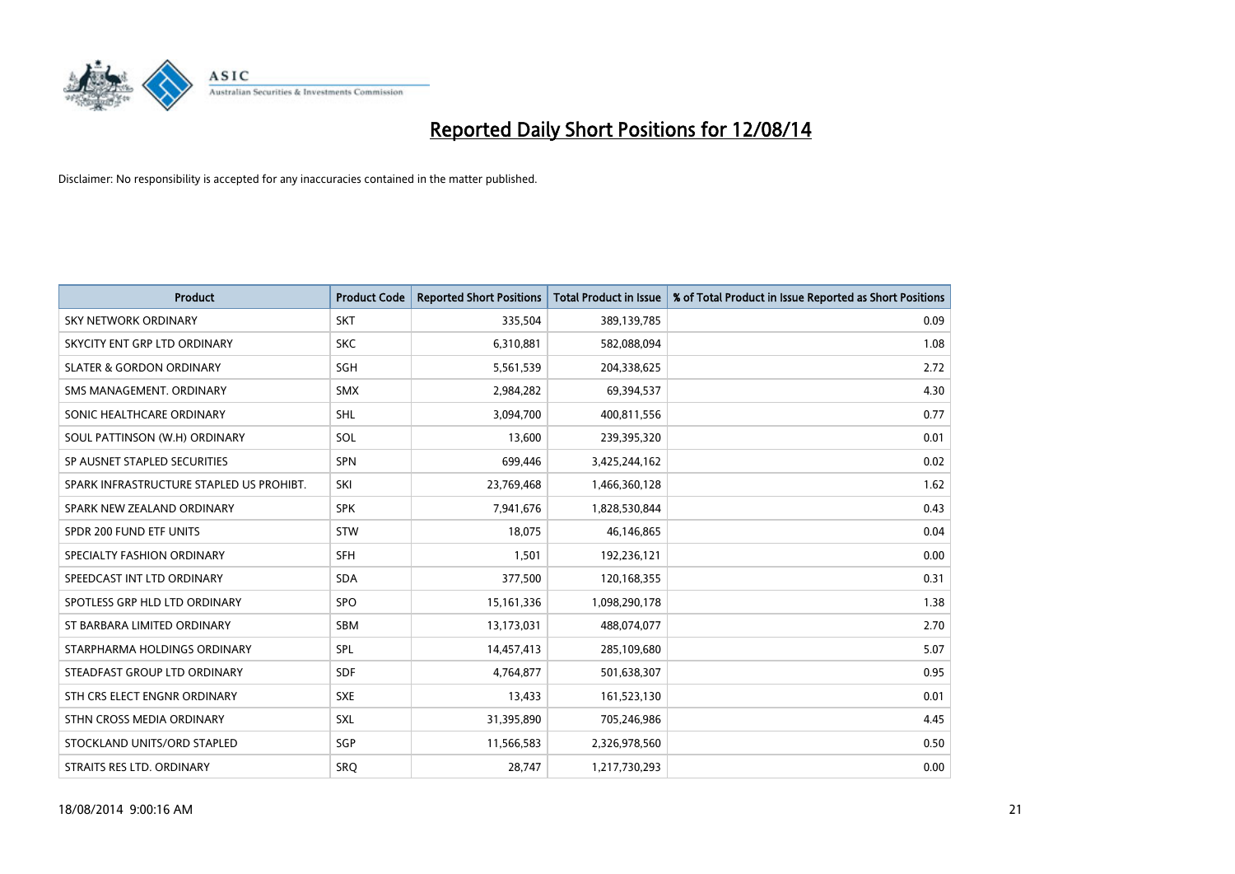

| <b>Product</b>                           | <b>Product Code</b> | <b>Reported Short Positions</b> | <b>Total Product in Issue</b> | % of Total Product in Issue Reported as Short Positions |
|------------------------------------------|---------------------|---------------------------------|-------------------------------|---------------------------------------------------------|
| <b>SKY NETWORK ORDINARY</b>              | <b>SKT</b>          | 335,504                         | 389,139,785                   | 0.09                                                    |
| SKYCITY ENT GRP LTD ORDINARY             | <b>SKC</b>          | 6,310,881                       | 582,088,094                   | 1.08                                                    |
| <b>SLATER &amp; GORDON ORDINARY</b>      | SGH                 | 5,561,539                       | 204,338,625                   | 2.72                                                    |
| SMS MANAGEMENT. ORDINARY                 | SMX                 | 2,984,282                       | 69,394,537                    | 4.30                                                    |
| SONIC HEALTHCARE ORDINARY                | SHL                 | 3,094,700                       | 400,811,556                   | 0.77                                                    |
| SOUL PATTINSON (W.H) ORDINARY            | SOL                 | 13,600                          | 239,395,320                   | 0.01                                                    |
| SP AUSNET STAPLED SECURITIES             | <b>SPN</b>          | 699,446                         | 3,425,244,162                 | 0.02                                                    |
| SPARK INFRASTRUCTURE STAPLED US PROHIBT. | SKI                 | 23,769,468                      | 1,466,360,128                 | 1.62                                                    |
| SPARK NEW ZEALAND ORDINARY               | <b>SPK</b>          | 7,941,676                       | 1,828,530,844                 | 0.43                                                    |
| SPDR 200 FUND ETF UNITS                  | <b>STW</b>          | 18,075                          | 46,146,865                    | 0.04                                                    |
| SPECIALTY FASHION ORDINARY               | <b>SFH</b>          | 1,501                           | 192,236,121                   | 0.00                                                    |
| SPEEDCAST INT LTD ORDINARY               | <b>SDA</b>          | 377,500                         | 120,168,355                   | 0.31                                                    |
| SPOTLESS GRP HLD LTD ORDINARY            | <b>SPO</b>          | 15, 161, 336                    | 1,098,290,178                 | 1.38                                                    |
| ST BARBARA LIMITED ORDINARY              | SBM                 | 13,173,031                      | 488,074,077                   | 2.70                                                    |
| STARPHARMA HOLDINGS ORDINARY             | <b>SPL</b>          | 14,457,413                      | 285,109,680                   | 5.07                                                    |
| STEADFAST GROUP LTD ORDINARY             | <b>SDF</b>          | 4,764,877                       | 501,638,307                   | 0.95                                                    |
| STH CRS ELECT ENGNR ORDINARY             | <b>SXE</b>          | 13,433                          | 161,523,130                   | 0.01                                                    |
| STHN CROSS MEDIA ORDINARY                | <b>SXL</b>          | 31,395,890                      | 705,246,986                   | 4.45                                                    |
| STOCKLAND UNITS/ORD STAPLED              | <b>SGP</b>          | 11,566,583                      | 2,326,978,560                 | 0.50                                                    |
| STRAITS RES LTD. ORDINARY                | SRO                 | 28,747                          | 1,217,730,293                 | 0.00                                                    |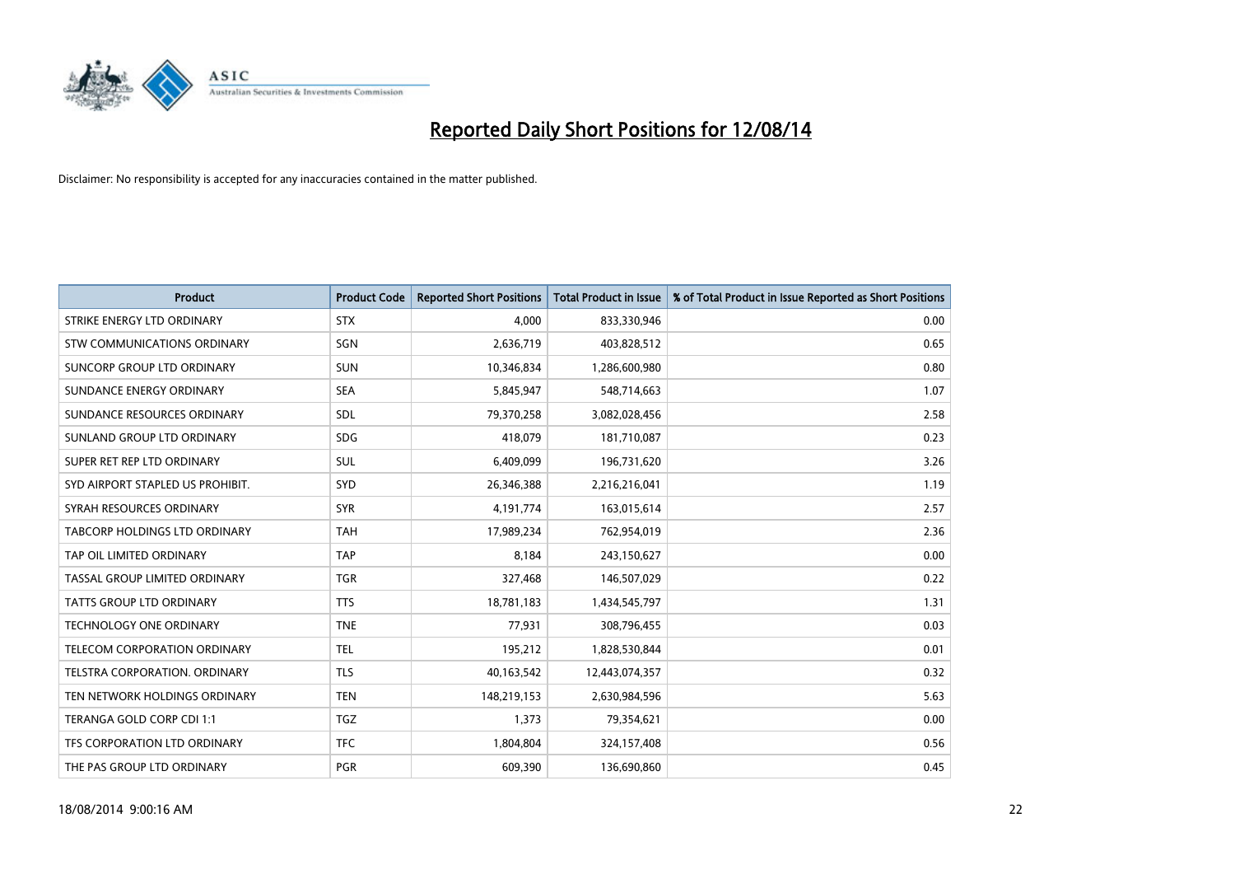

| <b>Product</b>                   | <b>Product Code</b> | <b>Reported Short Positions</b> | <b>Total Product in Issue</b> | % of Total Product in Issue Reported as Short Positions |
|----------------------------------|---------------------|---------------------------------|-------------------------------|---------------------------------------------------------|
| STRIKE ENERGY LTD ORDINARY       | <b>STX</b>          | 4,000                           | 833,330,946                   | 0.00                                                    |
| STW COMMUNICATIONS ORDINARY      | SGN                 | 2,636,719                       | 403,828,512                   | 0.65                                                    |
| SUNCORP GROUP LTD ORDINARY       | <b>SUN</b>          | 10,346,834                      | 1,286,600,980                 | 0.80                                                    |
| SUNDANCE ENERGY ORDINARY         | <b>SEA</b>          | 5,845,947                       | 548,714,663                   | 1.07                                                    |
| SUNDANCE RESOURCES ORDINARY      | SDL                 | 79,370,258                      | 3,082,028,456                 | 2.58                                                    |
| SUNLAND GROUP LTD ORDINARY       | <b>SDG</b>          | 418,079                         | 181,710,087                   | 0.23                                                    |
| SUPER RET REP LTD ORDINARY       | SUL                 | 6,409,099                       | 196,731,620                   | 3.26                                                    |
| SYD AIRPORT STAPLED US PROHIBIT. | SYD                 | 26,346,388                      | 2,216,216,041                 | 1.19                                                    |
| SYRAH RESOURCES ORDINARY         | <b>SYR</b>          | 4,191,774                       | 163,015,614                   | 2.57                                                    |
| TABCORP HOLDINGS LTD ORDINARY    | <b>TAH</b>          | 17,989,234                      | 762,954,019                   | 2.36                                                    |
| TAP OIL LIMITED ORDINARY         | <b>TAP</b>          | 8,184                           | 243,150,627                   | 0.00                                                    |
| TASSAL GROUP LIMITED ORDINARY    | <b>TGR</b>          | 327,468                         | 146,507,029                   | 0.22                                                    |
| <b>TATTS GROUP LTD ORDINARY</b>  | <b>TTS</b>          | 18,781,183                      | 1,434,545,797                 | 1.31                                                    |
| <b>TECHNOLOGY ONE ORDINARY</b>   | <b>TNE</b>          | 77,931                          | 308,796,455                   | 0.03                                                    |
| TELECOM CORPORATION ORDINARY     | <b>TEL</b>          | 195,212                         | 1,828,530,844                 | 0.01                                                    |
| TELSTRA CORPORATION. ORDINARY    | <b>TLS</b>          | 40,163,542                      | 12,443,074,357                | 0.32                                                    |
| TEN NETWORK HOLDINGS ORDINARY    | <b>TEN</b>          | 148,219,153                     | 2,630,984,596                 | 5.63                                                    |
| TERANGA GOLD CORP CDI 1:1        | <b>TGZ</b>          | 1,373                           | 79,354,621                    | 0.00                                                    |
| TFS CORPORATION LTD ORDINARY     | <b>TFC</b>          | 1,804,804                       | 324,157,408                   | 0.56                                                    |
| THE PAS GROUP LTD ORDINARY       | <b>PGR</b>          | 609,390                         | 136,690,860                   | 0.45                                                    |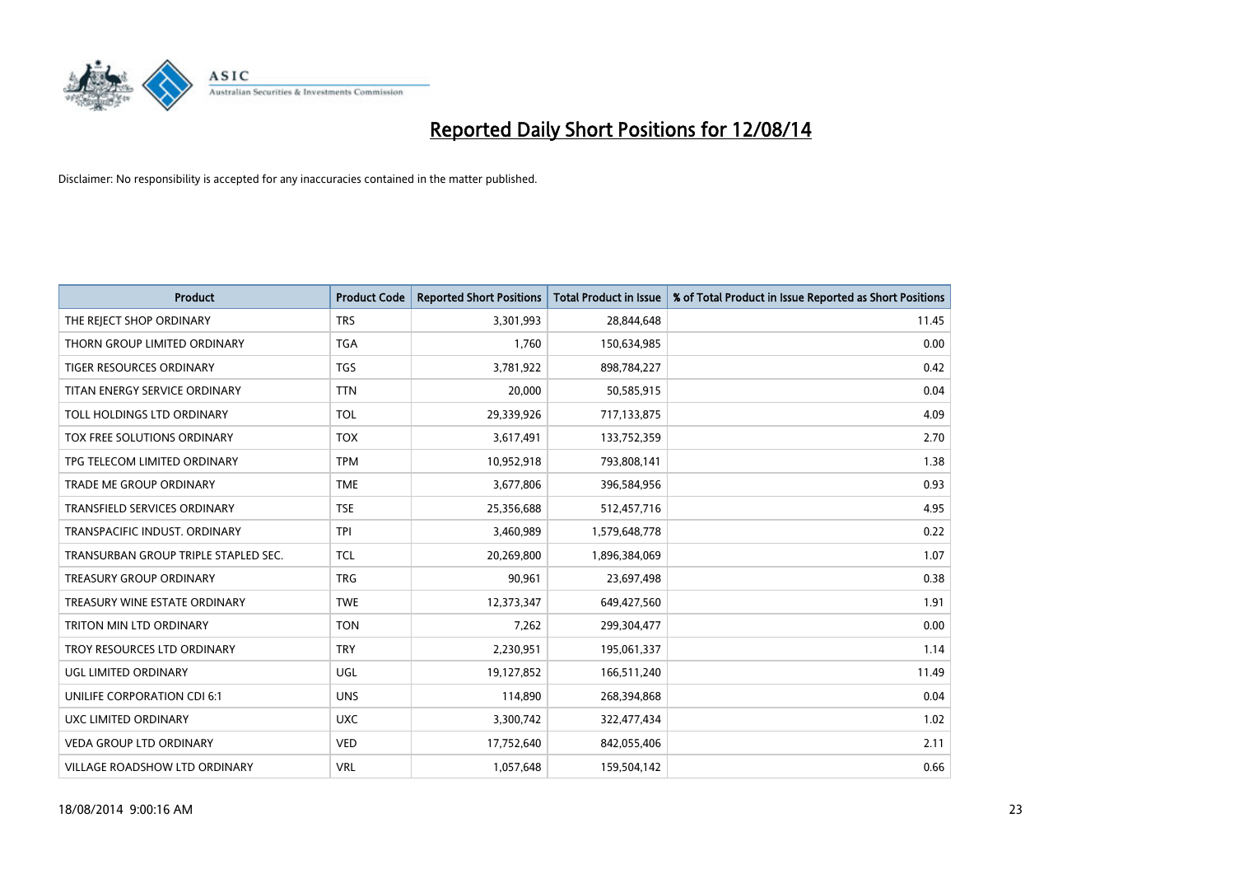

| <b>Product</b>                       | <b>Product Code</b> | <b>Reported Short Positions</b> | <b>Total Product in Issue</b> | % of Total Product in Issue Reported as Short Positions |
|--------------------------------------|---------------------|---------------------------------|-------------------------------|---------------------------------------------------------|
| THE REJECT SHOP ORDINARY             | <b>TRS</b>          | 3,301,993                       | 28,844,648                    | 11.45                                                   |
| THORN GROUP LIMITED ORDINARY         | <b>TGA</b>          | 1,760                           | 150,634,985                   | 0.00                                                    |
| <b>TIGER RESOURCES ORDINARY</b>      | <b>TGS</b>          | 3,781,922                       | 898,784,227                   | 0.42                                                    |
| TITAN ENERGY SERVICE ORDINARY        | <b>TTN</b>          | 20,000                          | 50,585,915                    | 0.04                                                    |
| TOLL HOLDINGS LTD ORDINARY           | <b>TOL</b>          | 29,339,926                      | 717,133,875                   | 4.09                                                    |
| TOX FREE SOLUTIONS ORDINARY          | <b>TOX</b>          | 3,617,491                       | 133,752,359                   | 2.70                                                    |
| TPG TELECOM LIMITED ORDINARY         | <b>TPM</b>          | 10,952,918                      | 793,808,141                   | 1.38                                                    |
| TRADE ME GROUP ORDINARY              | <b>TME</b>          | 3,677,806                       | 396,584,956                   | 0.93                                                    |
| <b>TRANSFIELD SERVICES ORDINARY</b>  | <b>TSE</b>          | 25,356,688                      | 512,457,716                   | 4.95                                                    |
| TRANSPACIFIC INDUST, ORDINARY        | <b>TPI</b>          | 3,460,989                       | 1,579,648,778                 | 0.22                                                    |
| TRANSURBAN GROUP TRIPLE STAPLED SEC. | TCL                 | 20,269,800                      | 1,896,384,069                 | 1.07                                                    |
| <b>TREASURY GROUP ORDINARY</b>       | <b>TRG</b>          | 90,961                          | 23,697,498                    | 0.38                                                    |
| TREASURY WINE ESTATE ORDINARY        | <b>TWE</b>          | 12,373,347                      | 649,427,560                   | 1.91                                                    |
| <b>TRITON MIN LTD ORDINARY</b>       | <b>TON</b>          | 7,262                           | 299,304,477                   | 0.00                                                    |
| TROY RESOURCES LTD ORDINARY          | <b>TRY</b>          | 2,230,951                       | 195,061,337                   | 1.14                                                    |
| UGL LIMITED ORDINARY                 | UGL                 | 19,127,852                      | 166,511,240                   | 11.49                                                   |
| UNILIFE CORPORATION CDI 6:1          | <b>UNS</b>          | 114,890                         | 268,394,868                   | 0.04                                                    |
| UXC LIMITED ORDINARY                 | <b>UXC</b>          | 3,300,742                       | 322,477,434                   | 1.02                                                    |
| <b>VEDA GROUP LTD ORDINARY</b>       | <b>VED</b>          | 17,752,640                      | 842,055,406                   | 2.11                                                    |
| VILLAGE ROADSHOW LTD ORDINARY        | <b>VRL</b>          | 1,057,648                       | 159,504,142                   | 0.66                                                    |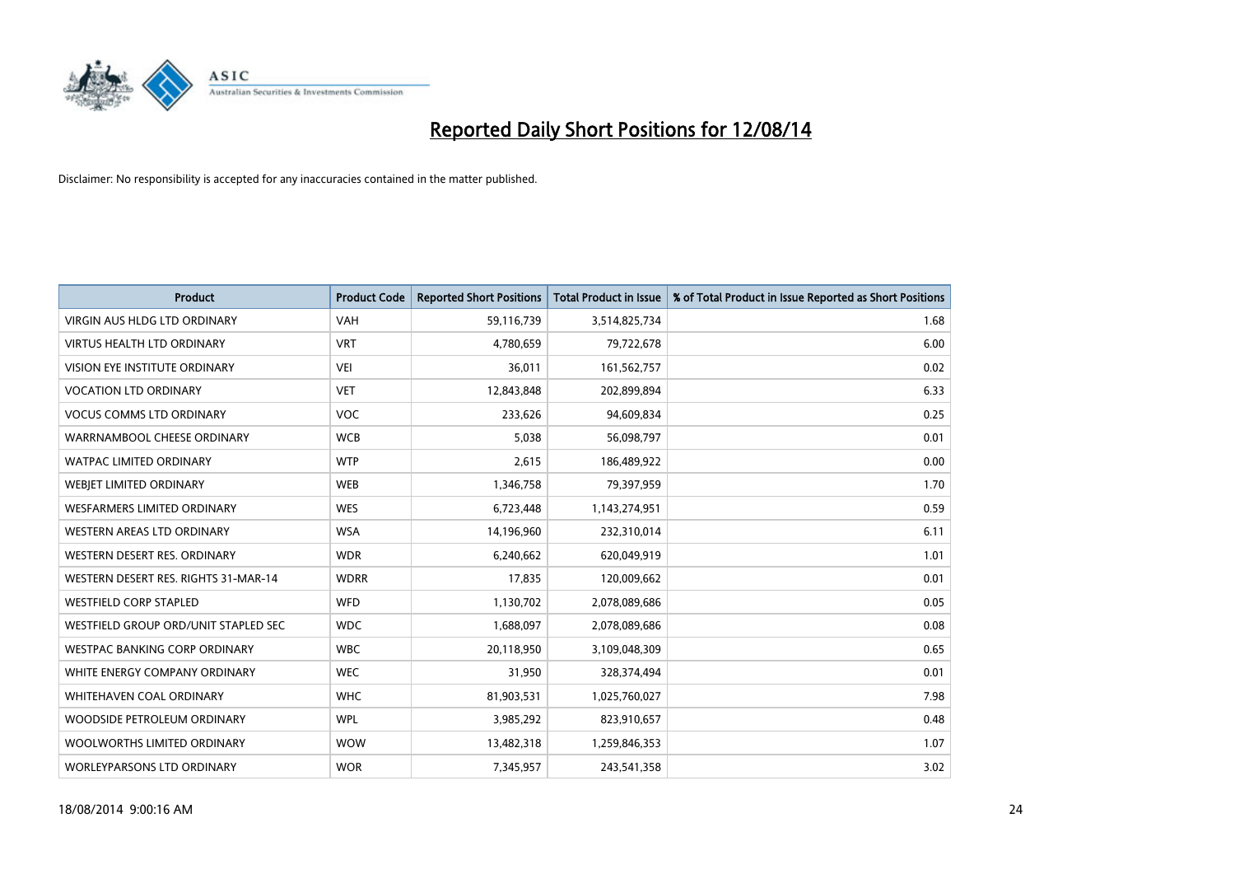

| <b>Product</b>                       | <b>Product Code</b> | <b>Reported Short Positions</b> | <b>Total Product in Issue</b> | % of Total Product in Issue Reported as Short Positions |
|--------------------------------------|---------------------|---------------------------------|-------------------------------|---------------------------------------------------------|
| VIRGIN AUS HLDG LTD ORDINARY         | <b>VAH</b>          | 59,116,739                      | 3,514,825,734                 | 1.68                                                    |
| <b>VIRTUS HEALTH LTD ORDINARY</b>    | <b>VRT</b>          | 4,780,659                       | 79,722,678                    | 6.00                                                    |
| <b>VISION EYE INSTITUTE ORDINARY</b> | <b>VEI</b>          | 36,011                          | 161,562,757                   | 0.02                                                    |
| <b>VOCATION LTD ORDINARY</b>         | <b>VET</b>          | 12,843,848                      | 202,899,894                   | 6.33                                                    |
| <b>VOCUS COMMS LTD ORDINARY</b>      | <b>VOC</b>          | 233,626                         | 94,609,834                    | 0.25                                                    |
| WARRNAMBOOL CHEESE ORDINARY          | <b>WCB</b>          | 5,038                           | 56,098,797                    | 0.01                                                    |
| <b>WATPAC LIMITED ORDINARY</b>       | <b>WTP</b>          | 2,615                           | 186,489,922                   | 0.00                                                    |
| WEBIET LIMITED ORDINARY              | <b>WEB</b>          | 1,346,758                       | 79,397,959                    | 1.70                                                    |
| WESFARMERS LIMITED ORDINARY          | <b>WES</b>          | 6,723,448                       | 1,143,274,951                 | 0.59                                                    |
| WESTERN AREAS LTD ORDINARY           | <b>WSA</b>          | 14,196,960                      | 232,310,014                   | 6.11                                                    |
| WESTERN DESERT RES. ORDINARY         | <b>WDR</b>          | 6,240,662                       | 620,049,919                   | 1.01                                                    |
| WESTERN DESERT RES. RIGHTS 31-MAR-14 | <b>WDRR</b>         | 17,835                          | 120,009,662                   | 0.01                                                    |
| <b>WESTFIELD CORP STAPLED</b>        | <b>WFD</b>          | 1,130,702                       | 2,078,089,686                 | 0.05                                                    |
| WESTFIELD GROUP ORD/UNIT STAPLED SEC | <b>WDC</b>          | 1,688,097                       | 2,078,089,686                 | 0.08                                                    |
| <b>WESTPAC BANKING CORP ORDINARY</b> | <b>WBC</b>          | 20,118,950                      | 3,109,048,309                 | 0.65                                                    |
| WHITE ENERGY COMPANY ORDINARY        | <b>WEC</b>          | 31,950                          | 328,374,494                   | 0.01                                                    |
| <b>WHITEHAVEN COAL ORDINARY</b>      | <b>WHC</b>          | 81,903,531                      | 1,025,760,027                 | 7.98                                                    |
| WOODSIDE PETROLEUM ORDINARY          | <b>WPL</b>          | 3,985,292                       | 823,910,657                   | 0.48                                                    |
| WOOLWORTHS LIMITED ORDINARY          | <b>WOW</b>          | 13,482,318                      | 1,259,846,353                 | 1.07                                                    |
| <b>WORLEYPARSONS LTD ORDINARY</b>    | <b>WOR</b>          | 7,345,957                       | 243,541,358                   | 3.02                                                    |